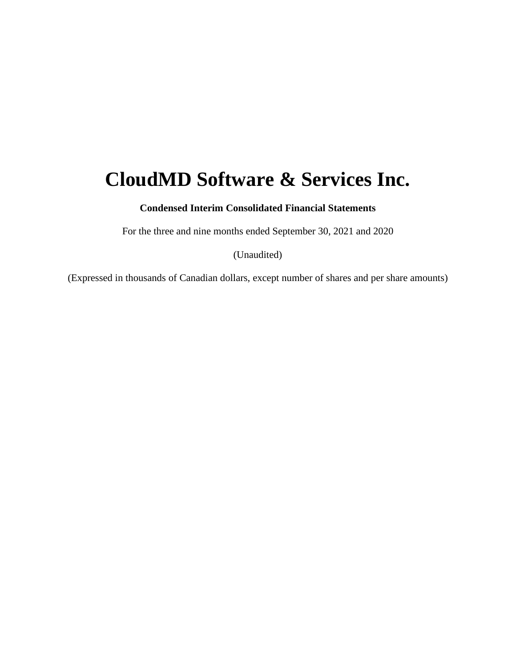# **CloudMD Software & Services Inc.**

**Condensed Interim Consolidated Financial Statements**

For the three and nine months ended September 30, 2021 and 2020

(Unaudited)

(Expressed in thousands of Canadian dollars, except number of shares and per share amounts)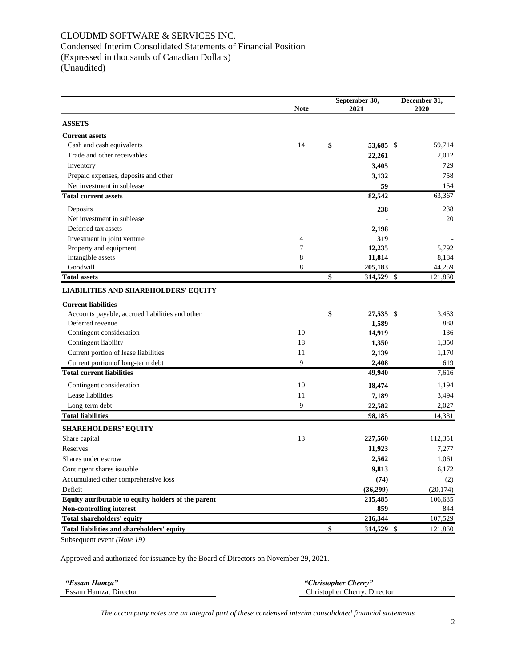# CLOUDMD SOFTWARE & SERVICES INC. Condensed Interim Consolidated Statements of Financial Position (Expressed in thousands of Canadian Dollars) (Unaudited)

|                                                     | <b>Note</b> | September 30,<br>2021         | December 31,<br>2020 |  |
|-----------------------------------------------------|-------------|-------------------------------|----------------------|--|
| <b>ASSETS</b>                                       |             |                               |                      |  |
| <b>Current assets</b>                               |             |                               |                      |  |
| Cash and cash equivalents                           | 14          | \$<br>53,685 \$               | 59,714               |  |
| Trade and other receivables                         |             | 22,261                        | 2,012                |  |
| Inventory                                           |             | 3,405                         | 729                  |  |
| Prepaid expenses, deposits and other                |             | 3,132                         | 758                  |  |
| Net investment in sublease                          |             | 59                            | 154                  |  |
| <b>Total current assets</b>                         |             | 82,542                        | 63,367               |  |
| Deposits                                            |             | 238                           | 238                  |  |
| Net investment in sublease                          |             |                               | 20                   |  |
| Deferred tax assets                                 |             | 2,198                         |                      |  |
| Investment in joint venture                         | 4           | 319                           |                      |  |
| Property and equipment                              | 7           | 12,235                        | 5,792                |  |
| Intangible assets                                   | 8           | 11,814                        | 8,184                |  |
| Goodwill                                            | 8           | 205,183                       | 44,259               |  |
| <b>Total assets</b>                                 |             | \$<br>314,529 $\overline{\$}$ | 121,860              |  |
| <b>LIABILITIES AND SHAREHOLDERS' EQUITY</b>         |             |                               |                      |  |
| <b>Current liabilities</b>                          |             |                               |                      |  |
| Accounts payable, accrued liabilities and other     |             | \$<br>27,535 \$               | 3,453                |  |
| Deferred revenue                                    |             | 1,589                         | 888                  |  |
| Contingent consideration                            | 10          | 14,919                        | 136                  |  |
| Contingent liability                                | 18          | 1,350                         | 1,350                |  |
| Current portion of lease liabilities                | 11          | 2,139                         | 1,170                |  |
| Current portion of long-term debt                   | 9           | 2,408                         | 619                  |  |
| <b>Total current liabilities</b>                    |             | 49,940                        | 7,616                |  |
| Contingent consideration                            | 10          | 18,474                        | 1,194                |  |
| Lease liabilities                                   | 11          | 7,189                         | 3,494                |  |
| Long-term debt                                      | 9           | 22,582                        | 2,027                |  |
| <b>Total liabilities</b>                            |             | 98,185                        | 14,331               |  |
| <b>SHAREHOLDERS' EQUITY</b>                         |             |                               |                      |  |
| Share capital                                       | 13          | 227,560                       | 112,351              |  |
| Reserves                                            |             | 11,923                        | 7,277                |  |
| Shares under escrow                                 |             | 2,562                         | 1,061                |  |
| Contingent shares issuable                          |             | 9,813                         | 6,172                |  |
| Accumulated other comprehensive loss                |             | (74)                          | (2)                  |  |
| Deficit                                             |             | (36,299)                      | (20, 174)            |  |
| Equity attributable to equity holders of the parent |             | 215,485                       | 106,685              |  |
| Non-controlling interest                            |             | 859                           | 844                  |  |
| Total shareholders' equity                          |             | 216,344                       | 107,529              |  |
| Total liabilities and shareholders' equity          |             | \$<br>314,529 \$              | 121,860              |  |

Subsequent event *(Note 19)*

Approved and authorized for issuance by the Board of Directors on November 29, 2021.

| "Essam Hamza"               | $\omega$<br>herry<br>Aristopher            |
|-----------------------------|--------------------------------------------|
| Essam<br>Hamza.<br>Director | <b>Director</b><br>. :hristopher<br>:herry |

*The accompany notes are an integral part of these condensed interim consolidated financial statements*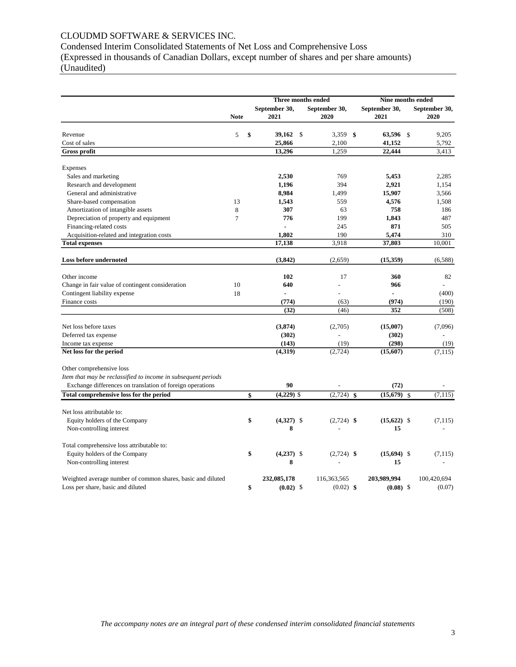# CLOUDMD SOFTWARE & SERVICES INC.

Condensed Interim Consolidated Statements of Net Loss and Comprehensive Loss (Expressed in thousands of Canadian Dollars, except number of shares and per share amounts) (Unaudited)

|                                                               |                | Three months ended |                       |                       |              | Nine months ended     |                                |  |  |
|---------------------------------------------------------------|----------------|--------------------|-----------------------|-----------------------|--------------|-----------------------|--------------------------------|--|--|
|                                                               | <b>Note</b>    |                    | September 30,<br>2021 | September 30,<br>2020 |              | September 30,<br>2021 | September 30,<br>2020          |  |  |
| Revenue                                                       | 5              | \$                 | 39,162                | \$<br>3,359           | \$           | 63,596 \$             | 9,205                          |  |  |
| Cost of sales                                                 |                |                    | 25,866                | 2,100                 |              | 41,152                | 5,792                          |  |  |
| <b>Gross profit</b>                                           |                |                    | 13,296                | 1,259                 |              | 22,444                | 3,413                          |  |  |
| Expenses                                                      |                |                    |                       |                       |              |                       |                                |  |  |
| Sales and marketing                                           |                |                    | 2,530                 | 769                   |              | 5,453                 | 2,285                          |  |  |
| Research and development                                      |                |                    | 1,196                 | 394                   |              | 2,921                 | 1,154                          |  |  |
| General and administrative                                    |                |                    | 8,984                 | 1,499                 |              | 15,907                | 3,566                          |  |  |
| Share-based compensation                                      | 13             |                    | 1,543                 | 559                   |              | 4,576                 | 1,508                          |  |  |
| Amortization of intangible assets                             | 8              |                    | 307                   | 63                    |              | 758                   | 186                            |  |  |
| Depreciation of property and equipment                        | $\overline{7}$ |                    | 776                   | 199                   |              | 1,843                 | 487                            |  |  |
| Financing-related costs                                       |                |                    |                       | 245                   |              | 871                   | 505                            |  |  |
| Acquisition-related and integration costs                     |                |                    | 1,802                 | 190                   |              | 5,474                 | 310                            |  |  |
| <b>Total expenses</b>                                         |                |                    | 17,138                | 3,918                 |              | 37,803                | 10,001                         |  |  |
| <b>Loss before undernoted</b>                                 |                |                    | (3, 842)              | (2,659)               |              | (15, 359)             | (6,588)                        |  |  |
| Other income                                                  |                |                    | 102                   | 17                    |              | 360                   | 82                             |  |  |
| Change in fair value of contingent consideration              | 10             |                    | 640                   |                       |              | 966                   |                                |  |  |
|                                                               | 18             |                    |                       |                       |              |                       | (400)                          |  |  |
| Contingent liability expense<br>Finance costs                 |                |                    | (774)                 | (63)                  |              | (974)                 | (190)                          |  |  |
|                                                               |                |                    | (32)                  | (46)                  |              | 352                   | (508)                          |  |  |
|                                                               |                |                    |                       |                       |              |                       |                                |  |  |
| Net loss before taxes                                         |                |                    | (3,874)               | (2,705)               |              | (15,007)              | (7,096)                        |  |  |
| Deferred tax expense                                          |                |                    | (302)                 |                       |              | (302)                 |                                |  |  |
| Income tax expense                                            |                |                    | (143)                 | (19)                  |              | (298)                 | (19)                           |  |  |
| Net loss for the period                                       |                |                    | (4,319)               | (2, 724)              |              | (15,607)              | (7, 115)                       |  |  |
| Other comprehensive loss                                      |                |                    |                       |                       |              |                       |                                |  |  |
| Item that may be reclassified to income in subsequent periods |                |                    |                       |                       |              |                       |                                |  |  |
| Exchange differences on translation of foreign operations     |                |                    | 90                    |                       |              | (72)                  |                                |  |  |
| <b>Total comprehensive loss for the period</b>                |                | \$                 | $(4,229)$ \$          | (2, 724)              | $\mathbf{s}$ | (15, 679)             | (7, 115)<br>$\mathbf{\hat{s}}$ |  |  |
| Net loss attributable to:                                     |                |                    |                       |                       |              |                       |                                |  |  |
| Equity holders of the Company                                 |                | \$                 | $(4,327)$ \$          | $(2,724)$ \$          |              | $(15,622)$ \$         | (7, 115)                       |  |  |
| Non-controlling interest                                      |                |                    | 8                     |                       |              | 15                    |                                |  |  |
| Total comprehensive loss attributable to:                     |                |                    |                       |                       |              |                       |                                |  |  |
| Equity holders of the Company                                 |                | \$                 | $(4,237)$ \$          | $(2,724)$ \$          |              | $(15,694)$ \$         | (7, 115)                       |  |  |
| Non-controlling interest                                      |                |                    | 8                     |                       |              | 15                    |                                |  |  |
| Weighted average number of common shares, basic and diluted   |                |                    | 232,085,178           | 116,363,565           |              | 203,989,994           | 100,420,694                    |  |  |
| Loss per share, basic and diluted                             |                | \$                 | $(0.02)$ \$           | $(0.02)$ \$           |              | $(0.08)$ \$           | (0.07)                         |  |  |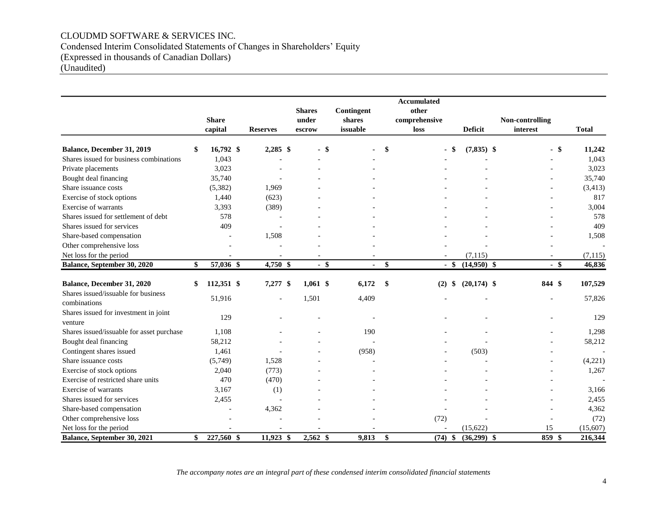# CLOUDMD SOFTWARE & SERVICES INC. Condensed Interim Consolidated Statements of Changes in Shareholders' Equity (Expressed in thousands of Canadian Dollars) (Unaudited)

|                                                  |              |                |                 |               |            |     | <b>Accumulated</b> |               |       |                 |              |
|--------------------------------------------------|--------------|----------------|-----------------|---------------|------------|-----|--------------------|---------------|-------|-----------------|--------------|
|                                                  |              |                |                 | <b>Shares</b> | Contingent |     | other              |               |       |                 |              |
|                                                  |              | <b>Share</b>   |                 | under         | shares     |     | comprehensive      |               |       | Non-controlling |              |
|                                                  |              | capital        | <b>Reserves</b> | escrow        | issuable   |     | loss               | Deficit       |       | interest        | <b>Total</b> |
| Balance, December 31, 2019                       | \$           | 16,792 \$      | $2,285$ \$      | $-$ \$        |            | \$  | \$                 | $(7,835)$ \$  |       | $-$ \$          | 11,242       |
| Shares issued for business combinations          |              | 1.043          |                 |               |            |     |                    |               |       |                 | 1,043        |
| Private placements                               |              | 3,023          |                 |               |            |     |                    |               |       |                 | 3,023        |
| Bought deal financing                            |              | 35,740         |                 |               |            |     |                    |               |       |                 | 35,740       |
| Share issuance costs                             |              | (5,382)        | 1,969           |               |            |     |                    |               |       |                 | (3, 413)     |
| Exercise of stock options                        |              | 1,440          | (623)           |               |            |     |                    |               |       |                 | 817          |
| Exercise of warrants                             |              | 3,393          | (389)           |               |            |     |                    |               |       |                 | 3,004        |
| Shares issued for settlement of debt             |              | 578            |                 |               |            |     |                    |               |       |                 | 578          |
| Shares issued for services                       |              | 409            |                 |               |            |     |                    |               |       |                 | 409          |
| Share-based compensation                         |              |                | 1,508           |               |            |     |                    |               |       |                 | 1,508        |
| Other comprehensive loss                         |              |                |                 |               |            |     |                    |               |       |                 |              |
| Net loss for the period                          |              |                |                 |               |            |     |                    | (7, 115)      |       |                 | (7, 115)     |
| Balance, September 30, 2020                      | $\mathbf{s}$ | 57,036 \$      | 4,750 \$        | $-$ \$        |            | \$  | $-$ \$             | $(14,950)$ \$ |       | $-$ \$          | 46,836       |
| Balance, December 31, 2020                       | \$           | 112,351 \$     | 7,277 \$        | $1,061$ \$    | 6,172      | -\$ | \$<br>(2)          | $(20,174)$ \$ |       | 844 \$          | 107,529      |
| Shares issued/issuable for business              |              |                |                 |               |            |     |                    |               |       |                 |              |
| combinations                                     |              | 51,916         |                 | 1,501         | 4,409      |     |                    |               |       |                 | 57,826       |
| Shares issued for investment in joint<br>venture |              | 129            |                 |               |            |     |                    |               |       |                 | 129          |
| Shares issued/issuable for asset purchase        |              | 1,108          |                 |               | 190        |     |                    |               |       |                 | 1,298        |
| Bought deal financing                            |              | 58,212         |                 |               |            |     |                    |               |       |                 | 58,212       |
| Contingent shares issued                         |              | 1,461          |                 |               | (958)      |     |                    |               | (503) |                 |              |
| Share issuance costs                             |              | (5,749)        | 1,528           |               |            |     |                    |               |       |                 | (4,221)      |
| Exercise of stock options                        |              | 2,040          | (773)           |               |            |     |                    |               |       |                 | 1,267        |
| Exercise of restricted share units               |              | 470            | (470)           |               |            |     |                    |               |       |                 |              |
| Exercise of warrants                             |              | 3,167          | (1)             |               |            |     |                    |               |       |                 | 3,166        |
| Shares issued for services                       |              | 2,455          |                 |               |            |     |                    |               |       |                 | 2,455        |
| Share-based compensation                         |              | $\sim$         | 4,362           |               |            |     |                    |               |       |                 | 4,362        |
| Other comprehensive loss                         |              | $\blacksquare$ |                 |               |            |     | (72)               |               |       |                 | (72)         |
| Net loss for the period                          |              | $\sim$         |                 |               |            |     |                    | (15, 622)     |       | 15              | (15,607)     |
| Balance, September 30, 2021                      | \$           | 227,560 \$     | $11,923$ \$     | $2,562$ \$    | 9,813      | \$  | $(74)$ \$          | $(36,299)$ \$ |       | 859<br>-\$      | 216,344      |

*The accompany notes are an integral part of these condensed interim consolidated financial statements*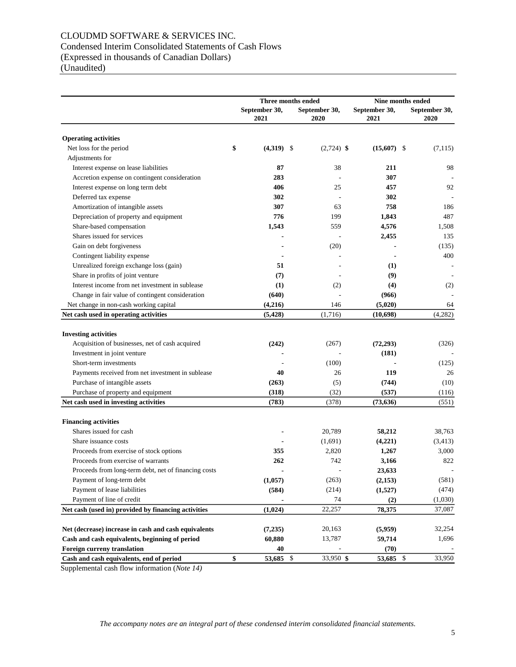# CLOUDMD SOFTWARE & SERVICES INC. Condensed Interim Consolidated Statements of Cash Flows (Expressed in thousands of Canadian Dollars) (Unaudited)

|                                                                                      | Three months ended    |  |                       |                       | Nine months ended     |
|--------------------------------------------------------------------------------------|-----------------------|--|-----------------------|-----------------------|-----------------------|
|                                                                                      | September 30,<br>2021 |  | September 30,<br>2020 | September 30,<br>2021 | September 30,<br>2020 |
|                                                                                      |                       |  |                       |                       |                       |
| <b>Operating activities</b><br>Net loss for the period                               | \$<br>$(4,319)$ \$    |  | $(2,724)$ \$          | $(15,607)$ \$         | (7, 115)              |
| Adjustments for                                                                      |                       |  |                       |                       |                       |
| Interest expense on lease liabilities                                                | 87                    |  | 38                    | 211                   | 98                    |
| Accretion expense on contingent consideration                                        | 283                   |  |                       | 307                   |                       |
| Interest expense on long term debt                                                   | 406                   |  | 25                    | 457                   | 92                    |
| Deferred tax expense                                                                 | 302                   |  |                       | 302                   |                       |
| Amortization of intangible assets                                                    | 307                   |  | 63                    | 758                   | 186                   |
| Depreciation of property and equipment                                               | 776                   |  | 199                   | 1,843                 | 487                   |
| Share-based compensation                                                             |                       |  | 559                   | 4,576                 | 1,508                 |
| Shares issued for services                                                           | 1,543                 |  |                       |                       | 135                   |
| Gain on debt forgiveness                                                             |                       |  |                       | 2,455                 |                       |
|                                                                                      |                       |  | (20)                  |                       | (135)                 |
| Contingent liability expense                                                         |                       |  |                       |                       | 400                   |
| Unrealized foreign exchange loss (gain)                                              | 51                    |  |                       | (1)                   |                       |
| Share in profits of joint venture<br>Interest income from net investment in sublease | (7)                   |  |                       | (9)                   |                       |
|                                                                                      | (1)                   |  | (2)                   | (4)                   | (2)                   |
| Change in fair value of contingent consideration                                     | (640)                 |  |                       | (966)                 |                       |
| Net change in non-cash working capital                                               | (4,216)               |  | 146                   | (5,020)               | 64                    |
| Net cash used in operating activities                                                | (5, 428)              |  | (1,716)               | (10,698)              | (4,282)               |
| <b>Investing activities</b>                                                          |                       |  |                       |                       |                       |
| Acquisition of businesses, net of cash acquired                                      | (242)                 |  | (267)                 | (72, 293)             | (326)                 |
| Investment in joint venture                                                          |                       |  |                       | (181)                 |                       |
| Short-term investments                                                               |                       |  | (100)                 |                       | (125)                 |
| Payments received from net investment in sublease                                    | 40                    |  | 26                    | 119                   | 26                    |
| Purchase of intangible assets                                                        | (263)                 |  | (5)                   | (744)                 | (10)                  |
| Purchase of property and equipment                                                   | (318)                 |  | (32)                  | (537)                 | (116)                 |
| Net cash used in investing activities                                                | (783)                 |  | (378)                 | (73, 636)             | (551)                 |
|                                                                                      |                       |  |                       |                       |                       |
| <b>Financing activities</b>                                                          |                       |  |                       |                       |                       |
| Shares issued for cash                                                               |                       |  | 20,789                | 58,212                | 38,763                |
| Share issuance costs                                                                 |                       |  | (1,691)               | (4,221)               | (3, 413)              |
| Proceeds from exercise of stock options                                              | 355                   |  | 2,820                 | 1,267                 | 3,000                 |
| Proceeds from exercise of warrants                                                   | 262                   |  | 742                   | 3,166                 | 822                   |
| Proceeds from long-term debt, net of financing costs                                 |                       |  |                       | 23,633                |                       |
| Payment of long-term debt                                                            | (1,057)               |  | (263)                 | (2,153)               | (581)                 |
| Payment of lease liabilities                                                         | (584)                 |  | (214)                 | (1,527)               | (474)                 |
| Payment of line of credit                                                            |                       |  | 74                    | (2)                   | (1,030)               |
| Net cash (used in) provided by financing activities                                  | (1,024)               |  | 22,257                | 78,375                | 37,087                |
|                                                                                      |                       |  |                       |                       |                       |
| Net (decrease) increase in cash and cash equivalents                                 | (7,235)               |  | 20,163                | (5,959)               | 32,254                |
| Cash and cash equivalents, beginning of period                                       | 60,880                |  | 13,787                | 59,714                | 1,696                 |
| Foreign curreny translation                                                          | 40                    |  |                       | (70)                  |                       |
| Cash and cash equivalents, end of period                                             | \$<br>53,685 \$       |  | 33,950 \$             | 53,685 \$             | 33,950                |

Supplemental cash flow information (*Note 14)*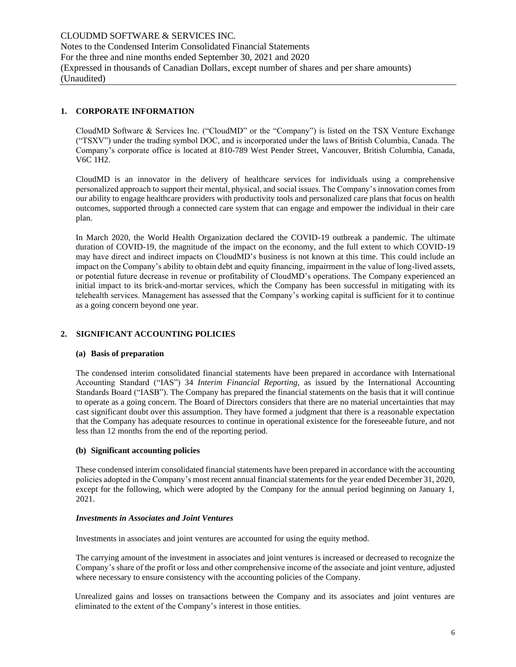# **1. CORPORATE INFORMATION**

CloudMD Software & Services Inc. ("CloudMD" or the "Company") is listed on the TSX Venture Exchange ("TSXV") under the trading symbol DOC, and is incorporated under the laws of British Columbia, Canada. The Company's corporate office is located at 810-789 West Pender Street, Vancouver, British Columbia, Canada, V6C 1H2.

CloudMD is an innovator in the delivery of healthcare services for individuals using a comprehensive personalized approach to support their mental, physical, and social issues. The Company's innovation comes from our ability to engage healthcare providers with productivity tools and personalized care plans that focus on health outcomes, supported through a connected care system that can engage and empower the individual in their care plan.

In March 2020, the World Health Organization declared the COVID-19 outbreak a pandemic. The ultimate duration of COVID-19, the magnitude of the impact on the economy, and the full extent to which COVID-19 may have direct and indirect impacts on CloudMD's business is not known at this time. This could include an impact on the Company's ability to obtain debt and equity financing, impairment in the value of long-lived assets, or potential future decrease in revenue or profitability of CloudMD's operations. The Company experienced an initial impact to its brick-and-mortar services, which the Company has been successful in mitigating with its telehealth services. Management has assessed that the Company's working capital is sufficient for it to continue as a going concern beyond one year.

## **2. SIGNIFICANT ACCOUNTING POLICIES**

#### **(a) Basis of preparation**

The condensed interim consolidated financial statements have been prepared in accordance with International Accounting Standard ("IAS") 34 *Interim Financial Reporting*, as issued by the International Accounting Standards Board ("IASB"). The Company has prepared the financial statements on the basis that it will continue to operate as a going concern. The Board of Directors considers that there are no material uncertainties that may cast significant doubt over this assumption. They have formed a judgment that there is a reasonable expectation that the Company has adequate resources to continue in operational existence for the foreseeable future, and not less than 12 months from the end of the reporting period.

#### **(b) Significant accounting policies**

These condensed interim consolidated financial statements have been prepared in accordance with the accounting policies adopted in the Company's most recent annual financial statements for the year ended December 31, 2020, except for the following, which were adopted by the Company for the annual period beginning on January 1, 2021.

#### *Investments in Associates and Joint Ventures*

Investments in associates and joint ventures are accounted for using the equity method.

The carrying amount of the investment in associates and joint ventures is increased or decreased to recognize the Company's share of the profit or loss and other comprehensive income of the associate and joint venture, adjusted where necessary to ensure consistency with the accounting policies of the Company.

Unrealized gains and losses on transactions between the Company and its associates and joint ventures are eliminated to the extent of the Company's interest in those entities.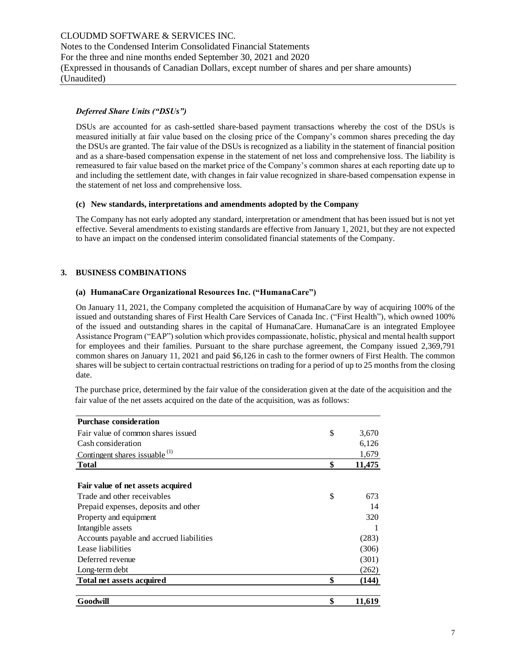# *Deferred Share Units ("DSUs")*

DSUs are accounted for as cash-settled share-based payment transactions whereby the cost of the DSUs is measured initially at fair value based on the closing price of the Company's common shares preceding the day the DSUs are granted. The fair value of the DSUs is recognized as a liability in the statement of financial position and as a share-based compensation expense in the statement of net loss and comprehensive loss. The liability is remeasured to fair value based on the market price of the Company's common shares at each reporting date up to and including the settlement date, with changes in fair value recognized in share-based compensation expense in the statement of net loss and comprehensive loss.

#### **(c) New standards, interpretations and amendments adopted by the Company**

The Company has not early adopted any standard, interpretation or amendment that has been issued but is not yet effective. Several amendments to existing standards are effective from January 1, 2021, but they are not expected to have an impact on the condensed interim consolidated financial statements of the Company.

# **3. BUSINESS COMBINATIONS**

#### **(a) HumanaCare Organizational Resources Inc. ("HumanaCare")**

On January 11, 2021, the Company completed the acquisition of HumanaCare by way of acquiring 100% of the issued and outstanding shares of First Health Care Services of Canada Inc. ("First Health"), which owned 100% of the issued and outstanding shares in the capital of HumanaCare. HumanaCare is an integrated Employee Assistance Program ("EAP") solution which provides compassionate, holistic, physical and mental health support for employees and their families. Pursuant to the share purchase agreement, the Company issued 2,369,791 common shares on January 11, 2021 and paid \$6,126 in cash to the former owners of First Health. The common shares will be subject to certain contractual restrictions on trading for a period of up to 25 months from the closing date.

| <b>Purchase consideration</b>            |              |
|------------------------------------------|--------------|
| Fair value of common shares issued       | \$<br>3,670  |
| Cash consideration                       | 6,126        |
| Contingent shares issuable $(1)$         | 1,679        |
| <b>Total</b>                             | \$<br>11,475 |
|                                          |              |
| Fair value of net assets acquired        |              |
| Trade and other receivables              | \$<br>673    |
| Prepaid expenses, deposits and other     | 14           |
| Property and equipment                   | 320          |
| Intangible assets                        |              |
| Accounts payable and accrued liabilities | (283)        |
| Lease liabilities                        | (306)        |
| Deferred revenue                         | (301)        |
| Long-term debt                           | (262)        |
| Total net assets acquired                | \$<br>(144)  |
| Goodwill                                 | \$<br>11,619 |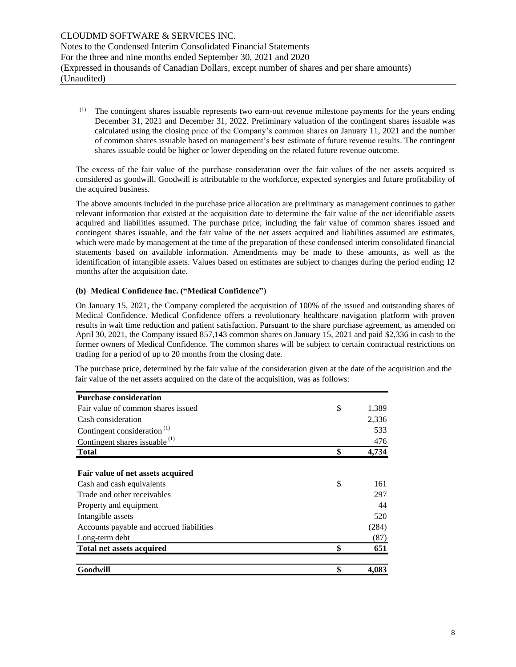(1) The contingent shares issuable represents two earn-out revenue milestone payments for the years ending December 31, 2021 and December 31, 2022. Preliminary valuation of the contingent shares issuable was calculated using the closing price of the Company's common shares on January 11, 2021 and the number of common shares issuable based on management's best estimate of future revenue results. The contingent shares issuable could be higher or lower depending on the related future revenue outcome.

The excess of the fair value of the purchase consideration over the fair values of the net assets acquired is considered as goodwill. Goodwill is attributable to the workforce, expected synergies and future profitability of the acquired business.

The above amounts included in the purchase price allocation are preliminary as management continues to gather relevant information that existed at the acquisition date to determine the fair value of the net identifiable assets acquired and liabilities assumed. The purchase price, including the fair value of common shares issued and contingent shares issuable, and the fair value of the net assets acquired and liabilities assumed are estimates, which were made by management at the time of the preparation of these condensed interim consolidated financial statements based on available information. Amendments may be made to these amounts, as well as the identification of intangible assets. Values based on estimates are subject to changes during the period ending 12 months after the acquisition date.

#### **(b) Medical Confidence Inc. ("Medical Confidence")**

On January 15, 2021, the Company completed the acquisition of 100% of the issued and outstanding shares of Medical Confidence. Medical Confidence offers a revolutionary healthcare navigation platform with proven results in wait time reduction and patient satisfaction. Pursuant to the share purchase agreement, as amended on April 30, 2021, the Company issued 857,143 common shares on January 15, 2021 and paid \$2,336 in cash to the former owners of Medical Confidence. The common shares will be subject to certain contractual restrictions on trading for a period of up to 20 months from the closing date.

| <b>Purchase consideration</b>            |             |
|------------------------------------------|-------------|
| Fair value of common shares issued       | \$<br>1,389 |
| Cash consideration                       | 2,336       |
| Contingent consideration <sup>(1)</sup>  | 533         |
| Contingent shares issuable $(1)$         | 476         |
| <b>Total</b>                             | \$<br>4,734 |
|                                          |             |
| Fair value of net assets acquired        |             |
| Cash and cash equivalents                | \$<br>161   |
| Trade and other receivables              | 297         |
| Property and equipment                   | 44          |
| Intangible assets                        | 520         |
| Accounts payable and accrued liabilities | (284)       |
| Long-term debt                           | (87)        |
| <b>Total net assets acquired</b>         | \$<br>651   |
| Goodwill                                 | \$<br>4,083 |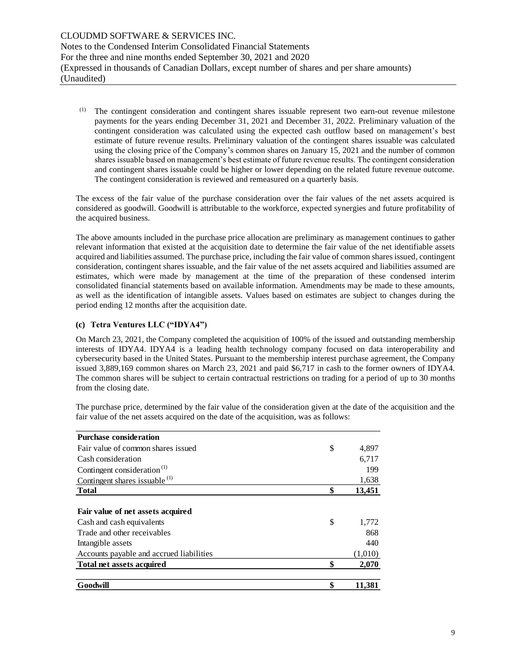(1) The contingent consideration and contingent shares issuable represent two earn-out revenue milestone payments for the years ending December 31, 2021 and December 31, 2022. Preliminary valuation of the contingent consideration was calculated using the expected cash outflow based on management's best estimate of future revenue results. Preliminary valuation of the contingent shares issuable was calculated using the closing price of the Company's common shares on January 15, 2021 and the number of common shares issuable based on management's best estimate of future revenue results. The contingent consideration and contingent shares issuable could be higher or lower depending on the related future revenue outcome. The contingent consideration is reviewed and remeasured on a quarterly basis.

The excess of the fair value of the purchase consideration over the fair values of the net assets acquired is considered as goodwill. Goodwill is attributable to the workforce, expected synergies and future profitability of the acquired business.

The above amounts included in the purchase price allocation are preliminary as management continues to gather relevant information that existed at the acquisition date to determine the fair value of the net identifiable assets acquired and liabilities assumed. The purchase price, including the fair value of common shares issued, contingent consideration, contingent shares issuable, and the fair value of the net assets acquired and liabilities assumed are estimates, which were made by management at the time of the preparation of these condensed interim consolidated financial statements based on available information. Amendments may be made to these amounts, as well as the identification of intangible assets. Values based on estimates are subject to changes during the period ending 12 months after the acquisition date.

# **(c) Tetra Ventures LLC ("IDYA4")**

On March 23, 2021, the Company completed the acquisition of 100% of the issued and outstanding membership interests of IDYA4. IDYA4 is a leading health technology company focused on data interoperability and cybersecurity based in the United States. Pursuant to the membership interest purchase agreement, the Company issued 3,889,169 common shares on March 23, 2021 and paid \$6,717 in cash to the former owners of IDYA4. The common shares will be subject to certain contractual restrictions on trading for a period of up to 30 months from the closing date.

| <b>Purchase consideration</b>             |              |
|-------------------------------------------|--------------|
| Fair value of common shares issued        | \$<br>4,897  |
| Cash consideration                        | 6,717        |
| Contingent consideration <sup>(1)</sup>   | 199          |
| Contingent shares issuable <sup>(1)</sup> | 1,638        |
| <b>Total</b>                              | \$<br>13,451 |
|                                           |              |
| Fair value of net assets acquired         |              |
| Cash and cash equivalents                 | \$<br>1,772  |
| Trade and other receivables               | 868          |
| Intangible assets                         | 440          |
| Accounts payable and accrued liabilities  | (1,010)      |
| <b>Total net assets acquired</b>          | \$<br>2,070  |
| Goodwill                                  | \$<br>11.381 |
|                                           |              |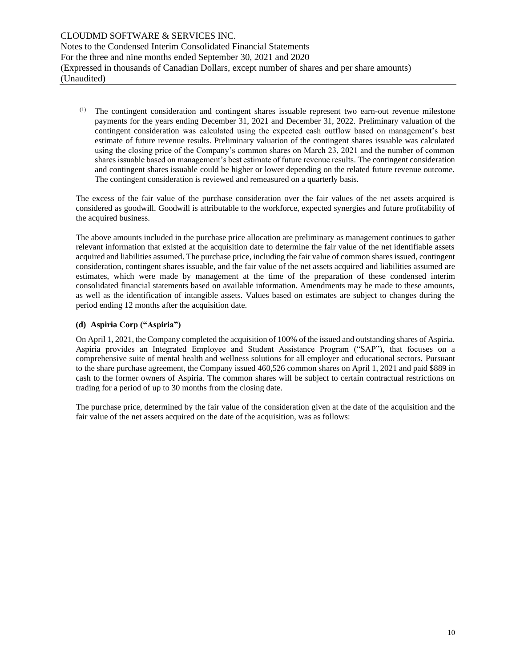(1) The contingent consideration and contingent shares issuable represent two earn-out revenue milestone payments for the years ending December 31, 2021 and December 31, 2022. Preliminary valuation of the contingent consideration was calculated using the expected cash outflow based on management's best estimate of future revenue results. Preliminary valuation of the contingent shares issuable was calculated using the closing price of the Company's common shares on March 23, 2021 and the number of common shares issuable based on management's best estimate of future revenue results. The contingent consideration and contingent shares issuable could be higher or lower depending on the related future revenue outcome. The contingent consideration is reviewed and remeasured on a quarterly basis.

The excess of the fair value of the purchase consideration over the fair values of the net assets acquired is considered as goodwill. Goodwill is attributable to the workforce, expected synergies and future profitability of the acquired business.

The above amounts included in the purchase price allocation are preliminary as management continues to gather relevant information that existed at the acquisition date to determine the fair value of the net identifiable assets acquired and liabilities assumed. The purchase price, including the fair value of common shares issued, contingent consideration, contingent shares issuable, and the fair value of the net assets acquired and liabilities assumed are estimates, which were made by management at the time of the preparation of these condensed interim consolidated financial statements based on available information. Amendments may be made to these amounts, as well as the identification of intangible assets. Values based on estimates are subject to changes during the period ending 12 months after the acquisition date.

# **(d) Aspiria Corp ("Aspiria")**

On April 1, 2021, the Company completed the acquisition of 100% of the issued and outstanding shares of Aspiria. Aspiria provides an Integrated Employee and Student Assistance Program ("SAP"), that focuses on a comprehensive suite of mental health and wellness solutions for all employer and educational sectors. Pursuant to the share purchase agreement, the Company issued 460,526 common shares on April 1, 2021 and paid \$889 in cash to the former owners of Aspiria. The common shares will be subject to certain contractual restrictions on trading for a period of up to 30 months from the closing date.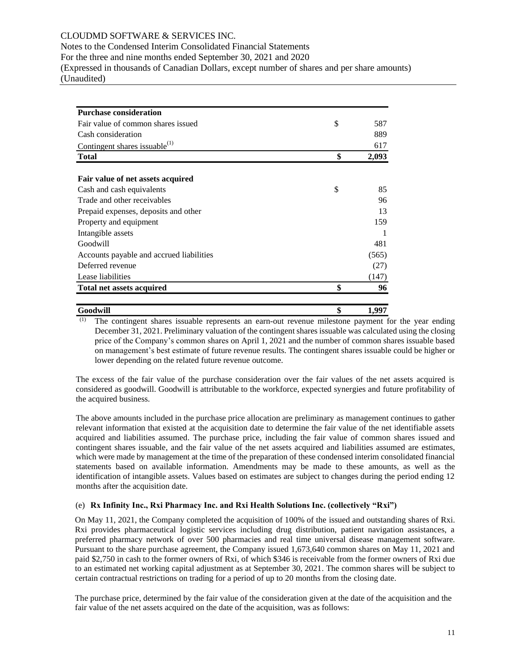# CLOUDMD SOFTWARE & SERVICES INC.

Notes to the Condensed Interim Consolidated Financial Statements

For the three and nine months ended September 30, 2021 and 2020

(Expressed in thousands of Canadian Dollars, except number of shares and per share amounts) (Unaudited)

| <b>Purchase consideration</b>                                                                                                                                                                                                                                                                                                                                                                                                                                                                                                                                                                                                                                                                                                 |             |
|-------------------------------------------------------------------------------------------------------------------------------------------------------------------------------------------------------------------------------------------------------------------------------------------------------------------------------------------------------------------------------------------------------------------------------------------------------------------------------------------------------------------------------------------------------------------------------------------------------------------------------------------------------------------------------------------------------------------------------|-------------|
| Fair value of common shares issued                                                                                                                                                                                                                                                                                                                                                                                                                                                                                                                                                                                                                                                                                            | \$<br>587   |
| Cash consideration                                                                                                                                                                                                                                                                                                                                                                                                                                                                                                                                                                                                                                                                                                            | 889         |
| Contingent shares issuable $^{(1)}$                                                                                                                                                                                                                                                                                                                                                                                                                                                                                                                                                                                                                                                                                           | 617         |
| <b>Total</b>                                                                                                                                                                                                                                                                                                                                                                                                                                                                                                                                                                                                                                                                                                                  | \$<br>2,093 |
|                                                                                                                                                                                                                                                                                                                                                                                                                                                                                                                                                                                                                                                                                                                               |             |
| Fair value of net assets acquired                                                                                                                                                                                                                                                                                                                                                                                                                                                                                                                                                                                                                                                                                             |             |
| Cash and cash equivalents                                                                                                                                                                                                                                                                                                                                                                                                                                                                                                                                                                                                                                                                                                     | \$<br>85    |
| Trade and other receivables                                                                                                                                                                                                                                                                                                                                                                                                                                                                                                                                                                                                                                                                                                   | 96          |
| Prepaid expenses, deposits and other                                                                                                                                                                                                                                                                                                                                                                                                                                                                                                                                                                                                                                                                                          | 13          |
| Property and equipment                                                                                                                                                                                                                                                                                                                                                                                                                                                                                                                                                                                                                                                                                                        | 159         |
| Intangible assets                                                                                                                                                                                                                                                                                                                                                                                                                                                                                                                                                                                                                                                                                                             | -1          |
| Goodwill                                                                                                                                                                                                                                                                                                                                                                                                                                                                                                                                                                                                                                                                                                                      | 481         |
| Accounts payable and accrued liabilities                                                                                                                                                                                                                                                                                                                                                                                                                                                                                                                                                                                                                                                                                      | (565)       |
| Deferred revenue                                                                                                                                                                                                                                                                                                                                                                                                                                                                                                                                                                                                                                                                                                              | (27)        |
| Lease liabilities                                                                                                                                                                                                                                                                                                                                                                                                                                                                                                                                                                                                                                                                                                             | (147)       |
| <b>Total net assets acquired</b>                                                                                                                                                                                                                                                                                                                                                                                                                                                                                                                                                                                                                                                                                              | \$<br>96    |
|                                                                                                                                                                                                                                                                                                                                                                                                                                                                                                                                                                                                                                                                                                                               |             |
| Goodwill<br>$\overline{(1)}$<br>The contingent shares issuable represents an earn-out revenue milestone payment for                                                                                                                                                                                                                                                                                                                                                                                                                                                                                                                                                                                                           | \$<br>1,997 |
| The excess of the fair value of the purchase consideration over the fair values of the net<br>considered as goodwill. Goodwill is attributable to the workforce, expected synergies and fut<br>the acquired business.                                                                                                                                                                                                                                                                                                                                                                                                                                                                                                         |             |
| The above amounts included in the purchase price allocation are preliminary as management of<br>relevant information that existed at the acquisition date to determine the fair value of the net<br>acquired and liabilities assumed. The purchase price, including the fair value of common<br>contingent shares issuable, and the fair value of the net assets acquired and liabilities assur<br>which were made by management at the time of the preparation of these condensed interim con<br>statements based on available information. Amendments may be made to these amount<br>identification of intangible assets. Values based on estimates are subject to changes during the<br>months after the acquisition date. |             |
| (e) Rx Infinity Inc., Rxi Pharmacy Inc. and Rxi Health Solutions Inc. (collectively "Rxi"                                                                                                                                                                                                                                                                                                                                                                                                                                                                                                                                                                                                                                     |             |
| On May 11, 2021, the Company completed the acquisition of 100% of the issued and outstand<br>Rxi provides pharmaceutical logistic services including drug distribution, patient navigat<br>preferred pharmacy network of over 500 pharmacies and real time universal disease mana<br>Pursuant to the share purchase agreement, the Company issued 1,673,640 common shares on<br>paid \$2,750 in cash to the former owners of Rxi, of which \$346 is receivable from the former<br>to an estimated net working capital adjustment as at September 30, 2021. The common shares<br>certain contractual restrictions on trading for a period of up to 20 months from the closing date                                             |             |
| The purchase price, determined by the fair value of the consideration given at the date of the a<br>fair value of the net assets acquired on the date of the acquisition, was as follows:                                                                                                                                                                                                                                                                                                                                                                                                                                                                                                                                     |             |

(1) The contingent shares issuable represents an earn-out revenue milestone payment for the year ending December 31, 2021. Preliminary valuation of the contingent shares issuable was calculated using the closing price of the Company's common shares on April 1, 2021 and the number of common shares issuable based on management's best estimate of future revenue results. The contingent shares issuable could be higher or lower depending on the related future revenue outcome.

The excess of the fair value of the purchase consideration over the fair values of the net assets acquired is considered as goodwill. Goodwill is attributable to the workforce, expected synergies and future profitability of the acquired business.

The above amounts included in the purchase price allocation are preliminary as management continues to gather relevant information that existed at the acquisition date to determine the fair value of the net identifiable assets acquired and liabilities assumed. The purchase price, including the fair value of common shares issued and contingent shares issuable, and the fair value of the net assets acquired and liabilities assumed are estimates, which were made by management at the time of the preparation of these condensed interim consolidated financial statements based on available information. Amendments may be made to these amounts, as well as the identification of intangible assets. Values based on estimates are subject to changes during the period ending 12 months after the acquisition date.

#### (e) **Rx Infinity Inc., Rxi Pharmacy Inc. and Rxi Health Solutions Inc. (collectively "Rxi")**

On May 11, 2021, the Company completed the acquisition of 100% of the issued and outstanding shares of Rxi. Rxi provides pharmaceutical logistic services including drug distribution, patient navigation assistances, a preferred pharmacy network of over 500 pharmacies and real time universal disease management software. Pursuant to the share purchase agreement, the Company issued 1,673,640 common shares on May 11, 2021 and paid \$2,750 in cash to the former owners of Rxi, of which \$346 is receivable from the former owners of Rxi due to an estimated net working capital adjustment as at September 30, 2021. The common shares will be subject to certain contractual restrictions on trading for a period of up to 20 months from the closing date.

The purchase price, determined by the fair value of the consideration given at the date of the acquisition and the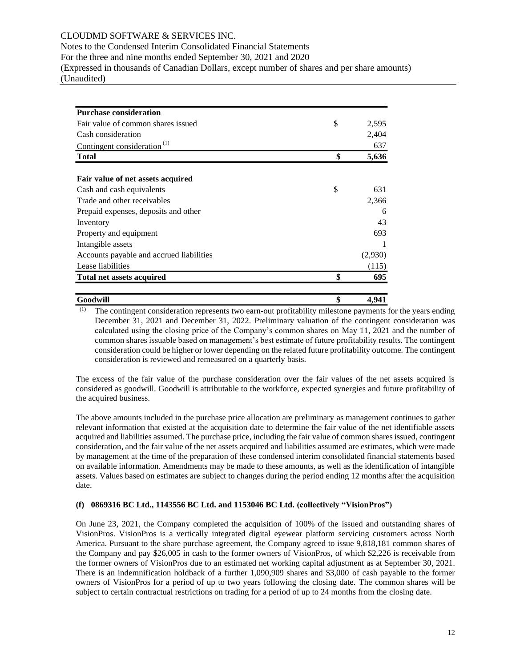# CLOUDMD SOFTWARE & SERVICES INC.

Notes to the Condensed Interim Consolidated Financial Statements

For the three and nine months ended September 30, 2021 and 2020

(Expressed in thousands of Canadian Dollars, except number of shares and per share amounts) (Unaudited)

| <b>Purchase consideration</b>            |             |
|------------------------------------------|-------------|
| Fair value of common shares issued       | \$<br>2,595 |
| Cash consideration                       | 2,404       |
| Contingent consideration <sup>(1)</sup>  | 637         |
| <b>Total</b>                             | \$<br>5,636 |
| Fair value of net assets acquired        |             |
| Cash and cash equivalents                | \$<br>631   |
| Trade and other receivables              | 2,366       |
| Prepaid expenses, deposits and other     | 6           |
| Inventory                                | 43          |
| Property and equipment                   | 693         |
| Intangible assets                        |             |
| Accounts payable and accrued liabilities | (2,930)     |
| Lease liabilities                        | (115)       |
| <b>Total net assets acquired</b>         | \$<br>695   |
| Goodwill                                 | \$<br>4.941 |

(1) The contingent consideration represents two earn-out profitability milestone payments for the years ending December 31, 2021 and December 31, 2022. Preliminary valuation of the contingent consideration was calculated using the closing price of the Company's common shares on May 11, 2021 and the number of common shares issuable based on management's best estimate of future profitability results. The contingent consideration could be higher or lower depending on the related future profitability outcome. The contingent consideration is reviewed and remeasured on a quarterly basis.

The excess of the fair value of the purchase consideration over the fair values of the net assets acquired is considered as goodwill. Goodwill is attributable to the workforce, expected synergies and future profitability of the acquired business.

The above amounts included in the purchase price allocation are preliminary as management continues to gather relevant information that existed at the acquisition date to determine the fair value of the net identifiable assets acquired and liabilities assumed. The purchase price, including the fair value of common shares issued, contingent consideration, and the fair value of the net assets acquired and liabilities assumed are estimates, which were made by management at the time of the preparation of these condensed interim consolidated financial statements based on available information. Amendments may be made to these amounts, as well as the identification of intangible assets. Values based on estimates are subject to changes during the period ending 12 months after the acquisition date.

#### **(f) 0869316 BC Ltd., 1143556 BC Ltd. and 1153046 BC Ltd. (collectively "VisionPros")**

On June 23, 2021, the Company completed the acquisition of 100% of the issued and outstanding shares of VisionPros. VisionPros is a vertically integrated digital eyewear platform servicing customers across North America. Pursuant to the share purchase agreement, the Company agreed to issue 9,818,181 common shares of the Company and pay \$26,005 in cash to the former owners of VisionPros, of which \$2,226 is receivable from the former owners of VisionPros due to an estimated net working capital adjustment as at September 30, 2021. There is an indemnification holdback of a further 1,090,909 shares and \$3,000 of cash payable to the former owners of VisionPros for a period of up to two years following the closing date. The common shares will be subject to certain contractual restrictions on trading for a period of up to 24 months from the closing date.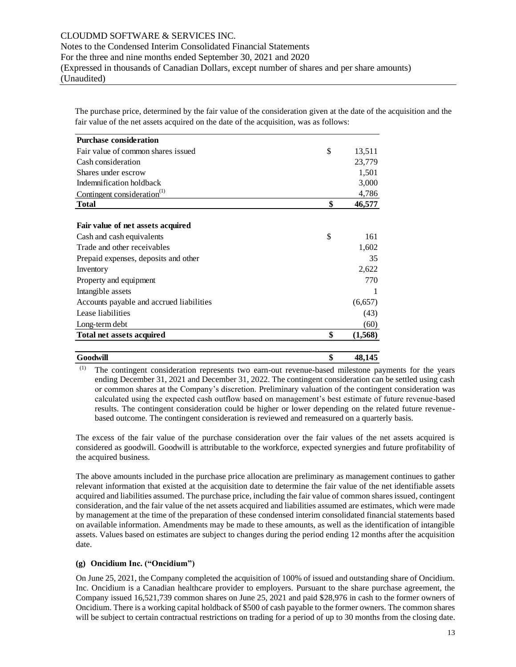The purchase price, determined by the fair value of the consideration given at the date of the acquisition and the fair value of the net assets acquired on the date of the acquisition, was as follows:

| <b>Purchase consideration</b>            |                |
|------------------------------------------|----------------|
| Fair value of common shares issued       | \$<br>13,511   |
| Cash consideration                       | 23,779         |
| Shares under escrow                      | 1,501          |
| Indemnification holdback                 | 3,000          |
| Contingent consideration <sup>(1)</sup>  | 4,786          |
| <b>Total</b>                             | \$<br>46,577   |
|                                          |                |
| Fair value of net assets acquired        |                |
| Cash and cash equivalents                | \$<br>161      |
| Trade and other receivables              | 1,602          |
| Prepaid expenses, deposits and other     | 35             |
| Inventory                                | 2,622          |
| Property and equipment                   | 770            |
| Intangible assets                        |                |
| Accounts payable and accrued liabilities | (6,657)        |
| Lease liabilities                        | (43)           |
| Long-term debt                           | (60)           |
| Total net assets acquired                | \$<br>(1, 568) |
| Goodwill                                 | \$<br>48,145   |

(1) The contingent consideration represents two earn-out revenue-based milestone payments for the years ending December 31, 2021 and December 31, 2022. The contingent consideration can be settled using cash or common shares at the Company's discretion. Preliminary valuation of the contingent consideration was calculated using the expected cash outflow based on management's best estimate of future revenue-based results. The contingent consideration could be higher or lower depending on the related future revenuebased outcome. The contingent consideration is reviewed and remeasured on a quarterly basis.

The excess of the fair value of the purchase consideration over the fair values of the net assets acquired is considered as goodwill. Goodwill is attributable to the workforce, expected synergies and future profitability of the acquired business.

The above amounts included in the purchase price allocation are preliminary as management continues to gather relevant information that existed at the acquisition date to determine the fair value of the net identifiable assets acquired and liabilities assumed. The purchase price, including the fair value of common shares issued, contingent consideration, and the fair value of the net assets acquired and liabilities assumed are estimates, which were made by management at the time of the preparation of these condensed interim consolidated financial statements based on available information. Amendments may be made to these amounts, as well as the identification of intangible assets. Values based on estimates are subject to changes during the period ending 12 months after the acquisition date.

#### **(g) Oncidium Inc. ("Oncidium")**

On June 25, 2021, the Company completed the acquisition of 100% of issued and outstanding share of Oncidium. Inc. Oncidium is a Canadian healthcare provider to employers. Pursuant to the share purchase agreement, the Company issued 16,521,739 common shares on June 25, 2021 and paid \$28,976 in cash to the former owners of Oncidium. There is a working capital holdback of \$500 of cash payable to the former owners. The common shares will be subject to certain contractual restrictions on trading for a period of up to 30 months from the closing date.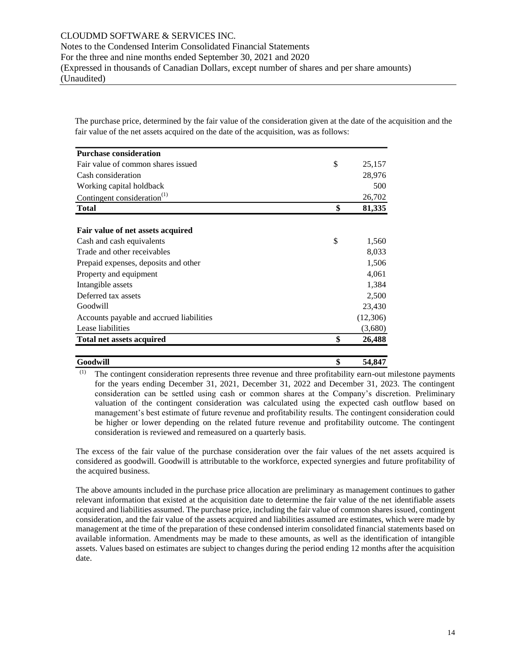The purchase price, determined by the fair value of the consideration given at the date of the acquisition and the fair value of the net assets acquired on the date of the acquisition, was as follows:

| <b>Purchase consideration</b>            |              |
|------------------------------------------|--------------|
| Fair value of common shares issued       | \$<br>25,157 |
| Cash consideration                       | 28,976       |
| Working capital holdback                 | 500          |
| Contingent consideration $^{(1)}$        | 26,702       |
| <b>Total</b>                             | \$<br>81,335 |
| Fair value of net assets acquired        |              |
| Cash and cash equivalents                | \$<br>1,560  |
| Trade and other receivables              | 8,033        |
| Prepaid expenses, deposits and other     | 1,506        |
| Property and equipment                   | 4,061        |
| Intangible assets                        | 1,384        |
| Deferred tax assets                      | 2,500        |
| Goodwill                                 | 23,430       |
| Accounts payable and accrued liabilities | (12,306)     |
| Lease liabilities                        | (3,680)      |
| <b>Total net assets acquired</b>         | \$<br>26,488 |
| Goodwill                                 | \$<br>54,847 |

(1) The contingent consideration represents three revenue and three profitability earn-out milestone payments for the years ending December 31, 2021, December 31, 2022 and December 31, 2023. The contingent consideration can be settled using cash or common shares at the Company's discretion. Preliminary valuation of the contingent consideration was calculated using the expected cash outflow based on management's best estimate of future revenue and profitability results. The contingent consideration could be higher or lower depending on the related future revenue and profitability outcome. The contingent consideration is reviewed and remeasured on a quarterly basis.

The excess of the fair value of the purchase consideration over the fair values of the net assets acquired is considered as goodwill. Goodwill is attributable to the workforce, expected synergies and future profitability of the acquired business.

The above amounts included in the purchase price allocation are preliminary as management continues to gather relevant information that existed at the acquisition date to determine the fair value of the net identifiable assets acquired and liabilities assumed. The purchase price, including the fair value of common shares issued, contingent consideration, and the fair value of the assets acquired and liabilities assumed are estimates, which were made by management at the time of the preparation of these condensed interim consolidated financial statements based on available information. Amendments may be made to these amounts, as well as the identification of intangible assets. Values based on estimates are subject to changes during the period ending 12 months after the acquisition date.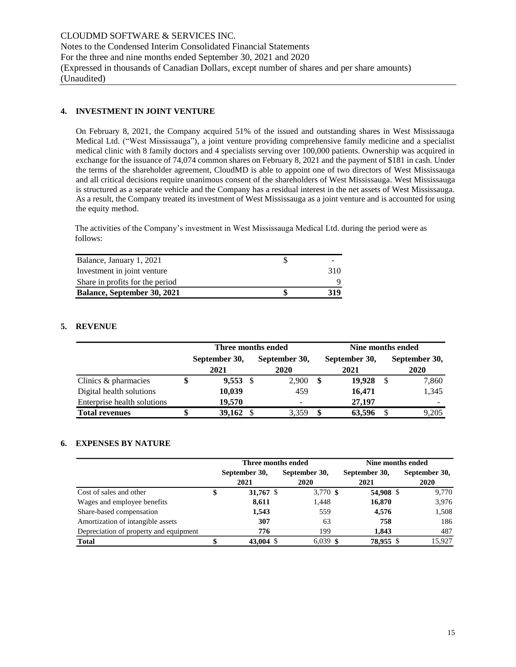# **4. INVESTMENT IN JOINT VENTURE**

On February 8, 2021, the Company acquired 51% of the issued and outstanding shares in West Mississauga Medical Ltd. ("West Mississauga"), a joint venture providing comprehensive family medicine and a specialist medical clinic with 8 family doctors and 4 specialists serving over 100,000 patients. Ownership was acquired in exchange for the issuance of 74,074 common shares on February 8, 2021 and the payment of \$181 in cash. Under the terms of the shareholder agreement, CloudMD is able to appoint one of two directors of West Mississauga and all critical decisions require unanimous consent of the shareholders of West Mississauga. West Mississauga is structured as a separate vehicle and the Company has a residual interest in the net assets of West Mississauga. As a result, the Company treated its investment of West Mississauga as a joint venture and is accounted for using the equity method.

The activities of the Company's investment in West Mississauga Medical Ltd. during the period were as follows:

| Balance, January 1, 2021           |      |
|------------------------------------|------|
| Investment in joint venture        | 310. |
| Share in profits for the period    |      |
| <b>Balance, September 30, 2021</b> | 319  |

# **5. REVENUE**

|                             |   |                       |      | Three months ended    | Nine months ended     |  |                              |  |  |  |  |
|-----------------------------|---|-----------------------|------|-----------------------|-----------------------|--|------------------------------|--|--|--|--|
|                             |   | September 30,<br>2021 |      | September 30,<br>2020 | September 30,<br>2021 |  | September 30,<br><b>2020</b> |  |  |  |  |
| Clinics & pharmacies        |   | 9,553                 | - \$ | 2,900                 | \$<br>19.928          |  | 7,860                        |  |  |  |  |
| Digital health solutions    |   | 10,039                |      | 459                   | 16,471                |  | 1,345                        |  |  |  |  |
| Enterprise health solutions |   | 19.570                |      |                       | 27,197                |  |                              |  |  |  |  |
| <b>Total revenues</b>       | S | 39,162                |      | 3.359                 | 63,596                |  | 9.205                        |  |  |  |  |

#### **6. EXPENSES BY NATURE**

|                                        |                      | Three months ended | Nine months ended |               |  |  |  |
|----------------------------------------|----------------------|--------------------|-------------------|---------------|--|--|--|
|                                        | September 30,        | September 30,      | September 30,     | September 30, |  |  |  |
|                                        | 2021                 | 2020               | 2021              | 2020          |  |  |  |
| Cost of sales and other                | 31,767 $\frac{1}{2}$ | 3,770 \$           | 54,908 \$         | 9,770         |  |  |  |
| Wages and employee benefits            | 8,611                | 1,448              | 16,870            | 3,976         |  |  |  |
| Share-based compensation               | 1,543                | 559                | 4,576             | 1,508         |  |  |  |
| Amortization of intangible assets      | 307                  | 63                 | 758               | 186           |  |  |  |
| Depreciation of property and equipment | 776                  | 199                | 1.843             | 487           |  |  |  |
| <b>Total</b>                           | 43,004 \$            | $6,039$ \$         | 78,955 \$         | 15.927        |  |  |  |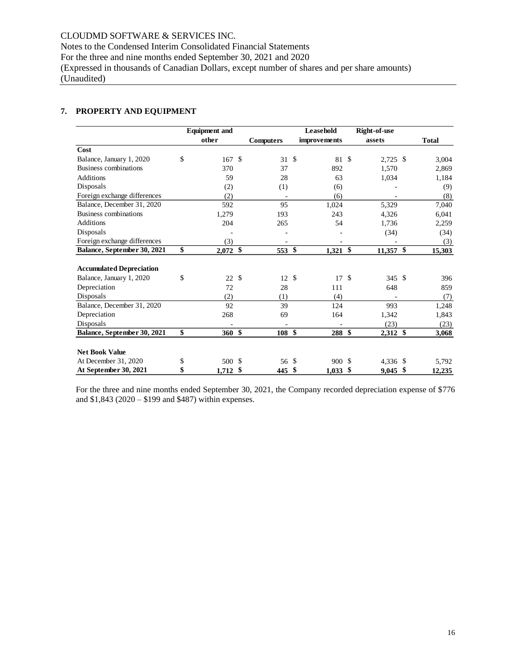# CLOUDMD SOFTWARE & SERVICES INC.

Notes to the Condensed Interim Consolidated Financial Statements For the three and nine months ended September 30, 2021 and 2020 (Expressed in thousands of Canadian Dollars, except number of shares and per share amounts)

(Unaudited)

# **7. PROPERTY AND EQUIPMENT**

|                                   | <b>Equipment and</b> |               |                  | Leasehold     |              | Right-of-use  |             |              |
|-----------------------------------|----------------------|---------------|------------------|---------------|--------------|---------------|-------------|--------------|
|                                   | other                |               | <b>Computers</b> |               | improvements |               | assets      | <b>Total</b> |
| Cost                              |                      |               |                  |               |              |               |             |              |
| \$<br>Balance, January 1, 2020    | 167                  | $\mathbf{\$}$ | 31               | $\mathbb{S}$  | 81           | $\mathcal{S}$ | 2,725 \$    | 3,004        |
| Business combinations             | 370                  |               | 37               |               | 892          |               | 1.570       | 2,869        |
| <b>Additions</b>                  | 59                   |               | 28               |               | 63           |               | 1,034       | 1,184        |
| Disposals                         | (2)                  |               | (1)              |               | (6)          |               |             | (9)          |
| Foreign exchange differences      | (2)                  |               |                  |               | (6)          |               |             | (8)          |
| Balance, December 31, 2020        | 592                  |               | 95               |               | 1,024        |               | 5,329       | 7,040        |
| Business combinations             | 1,279                |               | 193              |               | 243          |               | 4,326       | 6,041        |
| <b>Additions</b>                  | 204                  |               | 265              |               | 54           |               | 1,736       | 2,259        |
| Disposals                         |                      |               |                  |               |              |               | (34)        | (34)         |
| Foreign exchange differences      | (3)                  |               |                  |               |              |               |             | (3)          |
| \$<br>Balance, September 30, 2021 | $2,072$ \$           |               | 553              | $\mathbf{\$}$ | 1,321        | \$            | $11,357$ \$ | 15,303       |
|                                   |                      |               |                  |               |              |               |             |              |
| <b>Accumulated Depreciation</b>   |                      |               |                  |               |              |               |             |              |
| \$<br>Balance, January 1, 2020    | 22S                  |               | 12               | $\mathcal{S}$ | 17S          |               | 345 \$      | 396          |
| Depreciation                      | 72                   |               | 28               |               | 111          |               | 648         | 859          |
| Disposals                         | (2)                  |               | (1)              |               | (4)          |               |             | (7)          |
| Balance, December 31, 2020        | 92                   |               | 39               |               | 124          |               | 993         | 1,248        |
| Depreciation                      | 268                  |               | 69               |               | 164          |               | 1,342       | 1,843        |
| Disposals                         |                      |               |                  |               |              |               | (23)        | (23)         |
| \$<br>Balance, September 30, 2021 | $360*$               |               | 108              | \$            | 288          | \$            | $2,312$ \$  | 3,068        |
| <b>Net Book Value</b>             |                      |               |                  |               |              |               |             |              |
| At December 31, 2020<br>\$        | 500                  | -\$           | 56               | \$            | 900 \$       |               | 4,336 \$    | 5,792        |
| \$<br>At September 30, 2021       | 1,712                | \$            | 445              | \$            | 1,033        | \$            | $9,045$ \$  | 12.235       |

For the three and nine months ended September 30, 2021, the Company recorded depreciation expense of \$776 and \$1,843 (2020 – \$199 and \$487) within expenses.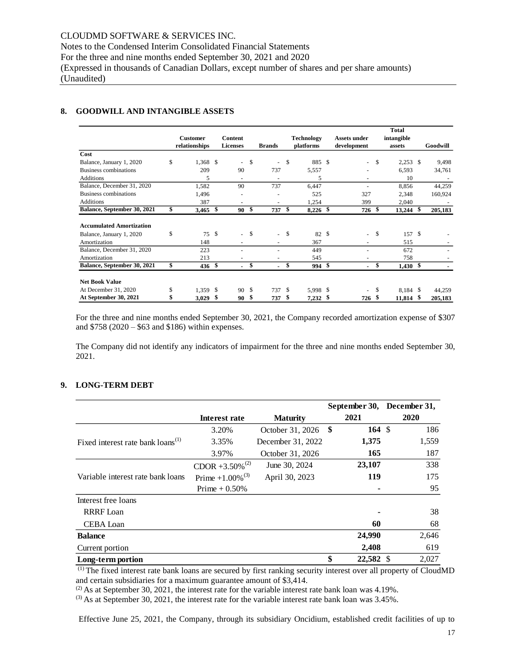# **8. GOODWILL AND INTANGIBLE ASSETS**

|                                 |                 |               |                          |               |                          |     |            |     |                |    | <b>Total</b> |                          |
|---------------------------------|-----------------|---------------|--------------------------|---------------|--------------------------|-----|------------|-----|----------------|----|--------------|--------------------------|
|                                 | <b>Customer</b> |               | Content                  |               |                          |     | Technology |     | Assets under   |    | intangible   |                          |
|                                 | relationships   |               | <b>Licenses</b>          |               | <b>Brands</b>            |     | platforms  |     | development    |    | assets       | Goodwill                 |
| Cost                            |                 |               |                          |               |                          |     |            |     |                |    |              |                          |
| Balance, January 1, 2020        | \$<br>1.368     | <sup>\$</sup> | $\overline{\phantom{a}}$ | \$            | $\overline{\phantom{a}}$ | \$  | 885        | -\$ | $\blacksquare$ | S  | $2,253$ \$   | 9,498                    |
| Business combinations           | 209             |               | 90                       |               | 737                      |     | 5,557      |     |                |    | 6,593        | 34,761                   |
| <b>Additions</b>                | 5               |               | $\overline{\phantom{a}}$ |               |                          |     | 5          |     |                |    | 10           | $\overline{\phantom{a}}$ |
| Balance, December 31, 2020      | 1,582           |               | 90                       |               | 737                      |     | 6,447      |     |                |    | 8,856        | 44,259                   |
| Business combinations           | 1,496           |               |                          |               |                          |     | 525        |     | 327            |    | 2,348        | 160,924                  |
| <b>Additions</b>                | 387             |               | $\overline{\phantom{a}}$ |               |                          |     | 1,254      |     | 399            |    | 2,040        |                          |
| Balance, September 30, 2021     | \$<br>3,465     | \$            | 90                       | \$            | 737                      | \$  | $8,226$ \$ |     | $726*$         |    | $13,244$ \$  | 205,183                  |
| <b>Accumulated Amortization</b> |                 |               |                          |               |                          |     |            |     |                |    |              |                          |
| Balance, January 1, 2020        | \$<br>75        | \$            |                          | $-$ \$        | $\sim$                   | \$  | 82 \$      |     | ٠              | \$ | 157 \$       |                          |
| Amortization                    | 148             |               |                          |               |                          |     | 367        |     |                |    | 515          |                          |
| Balance, December 31, 2020      | 223             |               |                          |               |                          |     | 449        |     |                |    | 672          |                          |
| Amortization                    | 213             |               |                          |               |                          |     | 545        |     |                |    | 758          |                          |
| Balance, September 30, 2021     | \$<br>436       | \$            | ٠                        | \$            | $\blacksquare$           | \$  | 994 \$     |     | ۰.             | \$ | $1,430$ \$   |                          |
| <b>Net Book Value</b>           |                 |               |                          |               |                          |     |            |     |                |    |              |                          |
| At December 31, 2020            | \$<br>1,359     | <sup>\$</sup> | 90                       | <sup>\$</sup> | 737                      | \$. | 5,998 \$   |     | ٠              | S  | 8,184 \$     | 44,259                   |
| At September 30, 2021           | 3,029           | S             | 90                       | \$            | 737                      | S   | 7,232      | \$  | 726 \$         |    | 11,814 \$    | 205,183                  |

For the three and nine months ended September 30, 2021, the Company recorded amortization expense of \$307 and \$758 (2020 – \$63 and \$186) within expenses.

The Company did not identify any indicators of impairment for the three and nine months ended September 30, 2021.

## **9. LONG-TERM DEBT**

|                                               |                             |                   |     | September 30, | December 31, |     |  |
|-----------------------------------------------|-----------------------------|-------------------|-----|---------------|--------------|-----|--|
|                                               | Interest rate               | <b>Maturity</b>   |     | 2021          | 2020         |     |  |
|                                               | 3.20%                       | October 31, 2026  | -\$ | 164 $\sqrt$   |              | 186 |  |
| Fixed interest rate bank loans <sup>(1)</sup> | 3.35%                       | December 31, 2022 |     | 1,375         | 1,559        |     |  |
|                                               | 3.97%                       | October 31, 2026  |     | 165           |              | 187 |  |
|                                               | CDOR +3.50% <sup>(2)</sup>  | June 30, 2024     |     | 23,107        |              | 338 |  |
| Variable interest rate bank loans             | Prime +1.00% <sup>(3)</sup> | April 30, 2023    |     | 119           |              | 175 |  |
|                                               | Prime $+0.50\%$             |                   |     |               |              | 95  |  |
| Interest free loans                           |                             |                   |     |               |              |     |  |
| <b>RRRF</b> Loan                              |                             |                   |     |               |              | 38  |  |
| CEBA Loan                                     |                             |                   |     | 60            |              | 68  |  |
| <b>Balance</b>                                |                             |                   |     | 24,990        | 2,646        |     |  |
| Current portion                               |                             |                   |     | 2,408         |              | 619 |  |
| Long-term portion                             |                             |                   | \$  | 22,582 \$     | 2,027        |     |  |

<sup>(1)</sup> The fixed interest rate bank loans are secured by first ranking security interest over all property of CloudMD and certain subsidiaries for a maximum guarantee amount of \$3,414.

 $^{(2)}$  As at September 30, 2021, the interest rate for the variable interest rate bank loan was 4.19%.

 $^{(3)}$  As at September 30, 2021, the interest rate for the variable interest rate bank loan was 3.45%.

Effective June 25, 2021, the Company, through its subsidiary Oncidium, established credit facilities of up to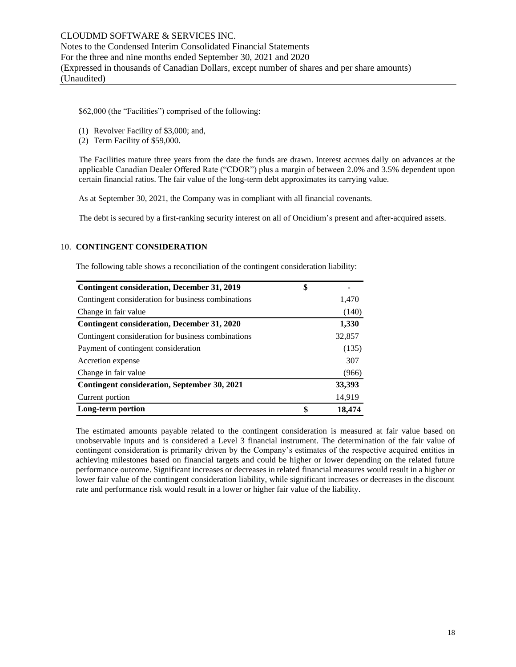\$62,000 (the "Facilities") comprised of the following:

- (1) Revolver Facility of \$3,000; and,
- (2) Term Facility of \$59,000.

The Facilities mature three years from the date the funds are drawn. Interest accrues daily on advances at the applicable Canadian Dealer Offered Rate ("CDOR") plus a margin of between 2.0% and 3.5% dependent upon certain financial ratios. The fair value of the long-term debt approximates its carrying value.

As at September 30, 2021, the Company was in compliant with all financial covenants.

The debt is secured by a first-ranking security interest on all of Oncidium's present and after-acquired assets.

#### 10. **CONTINGENT CONSIDERATION**

The following table shows a reconciliation of the contingent consideration liability:

| <b>Contingent consideration, December 31, 2019</b> | \$           |
|----------------------------------------------------|--------------|
| Contingent consideration for business combinations | 1,470        |
| Change in fair value                               | (140)        |
| Contingent consideration, December 31, 2020        | 1,330        |
| Contingent consideration for business combinations | 32,857       |
| Payment of contingent consideration                | (135)        |
| Accretion expense                                  | 307          |
| Change in fair value                               | (966)        |
| Contingent consideration, September 30, 2021       | 33,393       |
| Current portion                                    | 14,919       |
| Long-term portion                                  | \$<br>18,474 |

The estimated amounts payable related to the contingent consideration is measured at fair value based on unobservable inputs and is considered a Level 3 financial instrument. The determination of the fair value of contingent consideration is primarily driven by the Company's estimates of the respective acquired entities in achieving milestones based on financial targets and could be higher or lower depending on the related future performance outcome. Significant increases or decreases in related financial measures would result in a higher or lower fair value of the contingent consideration liability, while significant increases or decreases in the discount rate and performance risk would result in a lower or higher fair value of the liability.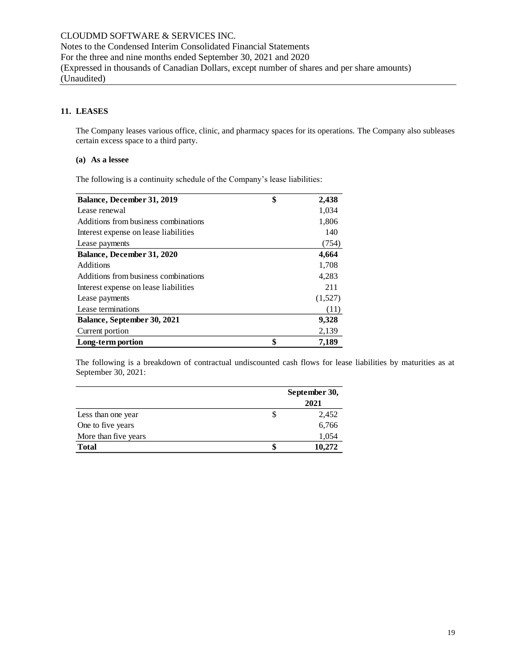# **11. LEASES**

The Company leases various office, clinic, and pharmacy spaces for its operations. The Company also subleases certain excess space to a third party.

#### **(a) As a lessee**

The following is a continuity schedule of the Company's lease liabilities:

| Balance, December 31, 2019            | \$<br>2,438 |
|---------------------------------------|-------------|
| Lease renewal                         | 1,034       |
| Additions from business combinations  | 1,806       |
| Interest expense on lease liabilities | 140         |
| Lease payments                        | (754)       |
| Balance, December 31, 2020            | 4,664       |
| Additions                             | 1,708       |
| Additions from business combinations  | 4,283       |
| Interest expense on lease liabilities | 211         |
| Lease payments                        | (1,527)     |
| Lease terminations                    | (11)        |
| Balance, September 30, 2021           | 9,328       |
| Current portion                       | 2,139       |
| Long-term portion                     | \$<br>7,189 |

The following is a breakdown of contractual undiscounted cash flows for lease liabilities by maturities as at September 30, 2021:

|                      | September 30, |
|----------------------|---------------|
|                      | 2021          |
| Less than one year   | 2,452         |
| One to five years    | 6,766         |
| More than five years | 1,054         |
| <b>Total</b>         | 10.272        |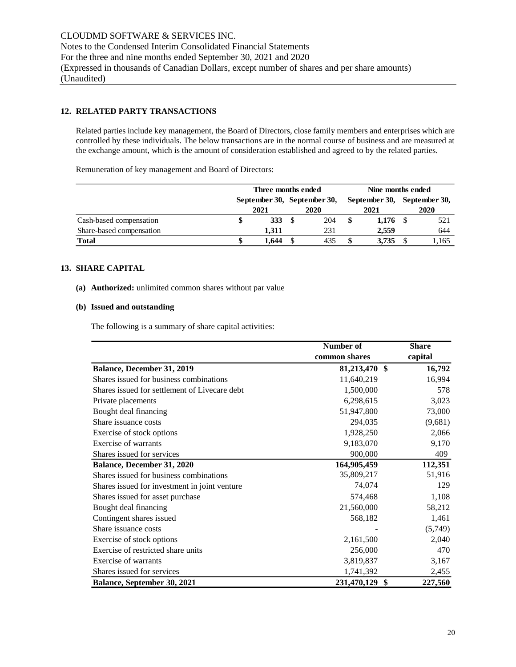# **12. RELATED PARTY TRANSACTIONS**

Related parties include key management, the Board of Directors, close family members and enterprises which are controlled by these individuals. The below transactions are in the normal course of business and are measured at the exchange amount, which is the amount of consideration established and agreed to by the related parties.

Remuneration of key management and Board of Directors:

|                          | Three months ended          |            |  |      |    | Nine months ended           |  |       |  |
|--------------------------|-----------------------------|------------|--|------|----|-----------------------------|--|-------|--|
|                          | September 30, September 30, |            |  |      |    | September 30, September 30, |  |       |  |
|                          |                             | 2021       |  | 2020 |    | 2021                        |  | 2020  |  |
| Cash-based compensation  |                             | <b>333</b> |  | 204  | \$ | $1,176$ \$                  |  | 521   |  |
| Share-based compensation |                             | 1.311      |  | 231  |    | 2.559                       |  | 644   |  |
| <b>Total</b>             |                             | 1.644      |  | 435  |    | 3.735                       |  | .,165 |  |

#### **13. SHARE CAPITAL**

# **(a) Authorized:** unlimited common shares without par value

#### **(b) Issued and outstanding**

The following is a summary of share capital activities:

|                                               | Number of         | Share   |
|-----------------------------------------------|-------------------|---------|
|                                               | common shares     | capital |
| Balance, December 31, 2019                    | 81,213,470 \$     | 16,792  |
| Shares issued for business combinations       | 11,640,219        | 16,994  |
| Shares issued for settlement of Livecare debt | 1,500,000         | 578     |
| Private placements                            | 6,298,615         | 3,023   |
| Bought deal financing                         | 51,947,800        | 73,000  |
| Share issuance costs                          | 294,035           | (9,681) |
| Exercise of stock options                     | 1,928,250         | 2,066   |
| Exercise of warrants                          | 9,183,070         | 9,170   |
| Shares issued for services                    | 900,000           | 409     |
| Balance, December 31, 2020                    | 164,905,459       | 112,351 |
| Shares issued for business combinations       | 35,809,217        | 51,916  |
| Shares issued for investment in joint venture | 74,074            | 129     |
| Shares issued for asset purchase              | 574,468           | 1,108   |
| Bought deal financing                         | 21,560,000        | 58,212  |
| Contingent shares issued                      | 568,182           | 1,461   |
| Share issuance costs                          |                   | (5,749) |
| Exercise of stock options                     | 2,161,500         | 2,040   |
| Exercise of restricted share units            | 256,000           | 470     |
| Exercise of warrants                          | 3,819,837         | 3,167   |
| Shares issued for services                    | 1,741,392         | 2,455   |
| Balance, September 30, 2021                   | 231,470,129<br>\$ | 227,560 |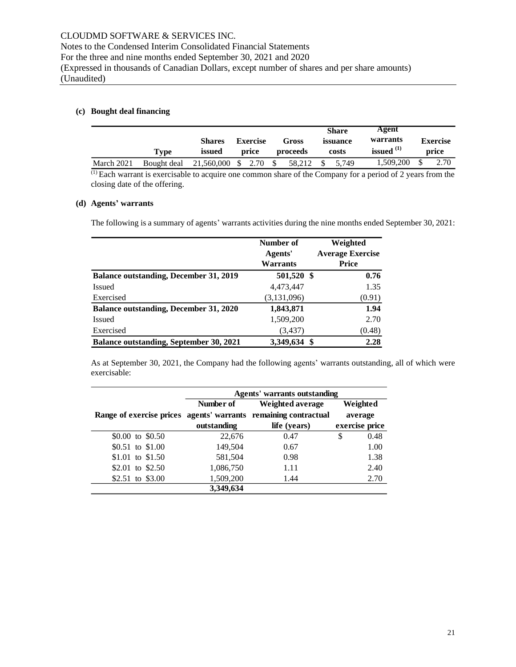# **(c) Bought deal financing**

|            |             |                         |                          |                   | <b>Share</b>      | Agent<br>warrants |                          |
|------------|-------------|-------------------------|--------------------------|-------------------|-------------------|-------------------|--------------------------|
|            | Type        | <b>Shares</b><br>issued | <b>Exercise</b><br>price | Gross<br>proceeds | issuance<br>costs | issued $(1)$      | <b>Exercise</b><br>price |
| March 2021 | Bought deal | 21,560,000 \$ 2.70      |                          | 58.212<br>S.      | 5.749             | 1.509.200         | 2.70                     |

 $\overline{^{(1)}}$  Each warrant is exercisable to acquire one common share of the Company for a period of 2 years from the closing date of the offering.

#### **(d) Agents' warrants**

The following is a summary of agents' warrants activities during the nine months ended September 30, 2021:

|                                                | Number of<br>Agents' | Weighted<br><b>Average Exercise</b> |
|------------------------------------------------|----------------------|-------------------------------------|
|                                                | <b>Warrants</b>      | <b>Price</b>                        |
| <b>Balance outstanding, December 31, 2019</b>  | 501,520 \$           | 0.76                                |
| <b>Issued</b>                                  | 4,473,447            | 1.35                                |
| Exercised                                      | (3,131,096)          | (0.91)                              |
| <b>Balance outstanding, December 31, 2020</b>  | 1,843,871            | 1.94                                |
| <b>Issued</b>                                  | 1,509,200            | 2.70                                |
| Exercised                                      | (3,437)              | (0.48)                              |
| <b>Balance outstanding, September 30, 2021</b> | 3,349,634 \$         | 2.28                                |

As at September 30, 2021, the Company had the following agents' warrants outstanding, all of which were exercisable:

|                                                                 | Agents' warrants outstanding |                  |                |  |  |  |  |  |  |  |  |
|-----------------------------------------------------------------|------------------------------|------------------|----------------|--|--|--|--|--|--|--|--|
|                                                                 | Number of                    | Weighted average | Weighted       |  |  |  |  |  |  |  |  |
| Range of exercise prices agents' warrants remaining contractual |                              |                  | average        |  |  |  |  |  |  |  |  |
|                                                                 | outstanding                  | life (years)     | exercise price |  |  |  |  |  |  |  |  |
| \$0.00 to \$0.50                                                | 22,676                       | 0.47             | 0.48<br>S      |  |  |  |  |  |  |  |  |
| \$0.51 to \$1.00                                                | 149,504                      | 0.67             | 1.00           |  |  |  |  |  |  |  |  |
| \$1.01 to \$1.50                                                | 581,504                      | 0.98             | 1.38           |  |  |  |  |  |  |  |  |
| \$2.01 to \$2.50                                                | 1,086,750                    | 1.11             | 2.40           |  |  |  |  |  |  |  |  |
| \$2.51 to \$3.00                                                | 1,509,200                    | 1.44             | 2.70           |  |  |  |  |  |  |  |  |
|                                                                 | 3,349,634                    |                  |                |  |  |  |  |  |  |  |  |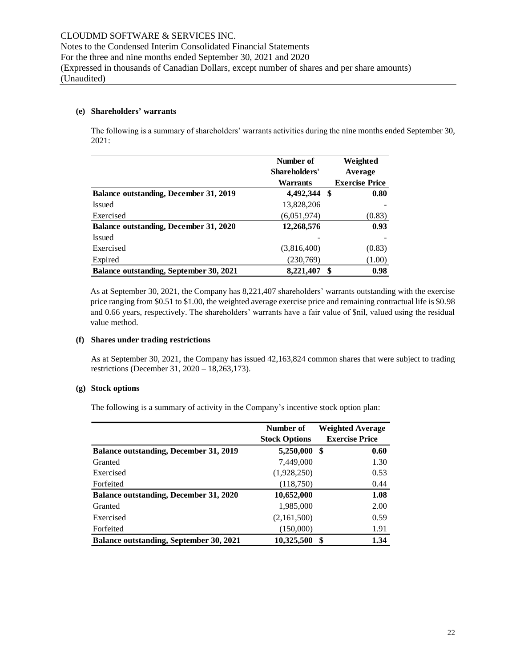#### **(e) Shareholders' warrants**

The following is a summary of shareholders' warrants activities during the nine months ended September 30, 2021:

|                                                | Number of<br>Shareholders'<br>Warrants |   | Weighted<br>Average<br><b>Exercise Price</b> |  |  |  |
|------------------------------------------------|----------------------------------------|---|----------------------------------------------|--|--|--|
| <b>Balance outstanding, December 31, 2019</b>  | 4,492,344 \$                           |   | 0.80                                         |  |  |  |
| <b>Issued</b>                                  | 13,828,206                             |   |                                              |  |  |  |
| Exercised                                      | (6,051,974)                            |   | (0.83)                                       |  |  |  |
| Balance outstanding, December 31, 2020         | 12,268,576                             |   | 0.93                                         |  |  |  |
| <b>Issued</b>                                  |                                        |   |                                              |  |  |  |
| Exercised                                      | (3,816,400)                            |   | (0.83)                                       |  |  |  |
| Expired                                        | (230,769)                              |   | (1.00)                                       |  |  |  |
| <b>Balance outstanding, September 30, 2021</b> | 8,221,407                              | S | 0.98                                         |  |  |  |

As at September 30, 2021, the Company has 8,221,407 shareholders' warrants outstanding with the exercise price ranging from \$0.51 to \$1.00, the weighted average exercise price and remaining contractual life is \$0.98 and 0.66 years, respectively. The shareholders' warrants have a fair value of \$nil, valued using the residual value method.

#### **(f) Shares under trading restrictions**

As at September 30, 2021, the Company has issued 42,163,824 common shares that were subject to trading restrictions (December 31, 2020 – 18,263,173).

#### **(g) Stock options**

The following is a summary of activity in the Company's incentive stock option plan:

|                                                | Number of<br><b>Stock Options</b> | <b>Weighted Average</b><br><b>Exercise Price</b> |  |  |  |
|------------------------------------------------|-----------------------------------|--------------------------------------------------|--|--|--|
| <b>Balance outstanding, December 31, 2019</b>  | 5,250,000                         | S<br>0.60                                        |  |  |  |
| Granted                                        | 7,449,000                         | 1.30                                             |  |  |  |
| Exercised                                      | (1,928,250)                       | 0.53                                             |  |  |  |
| Forfeited                                      | (118,750)                         | 0.44                                             |  |  |  |
| <b>Balance outstanding, December 31, 2020</b>  | 10,652,000                        | 1.08                                             |  |  |  |
| Granted                                        | 1,985,000                         | 2.00                                             |  |  |  |
| Exercised                                      | (2,161,500)                       | 0.59                                             |  |  |  |
| Forfeited                                      | (150,000)                         | 1.91                                             |  |  |  |
| <b>Balance outstanding, September 30, 2021</b> | 10,325,500                        | 1.34<br>S                                        |  |  |  |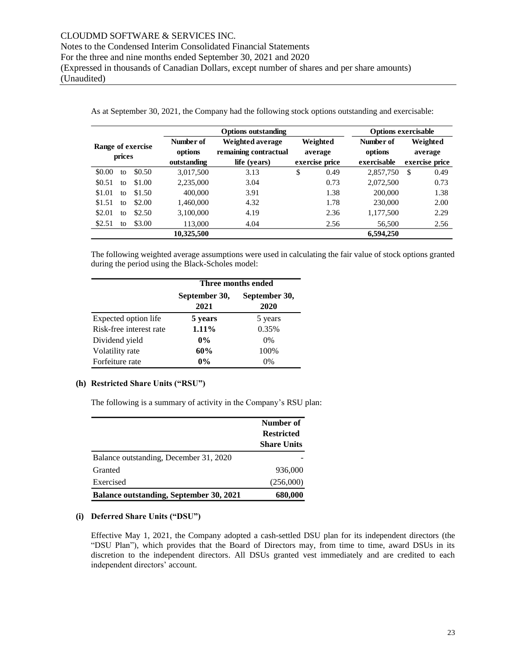|                                                                    |        |                                                           | <b>Options exercisable</b>            |    |                                     |                                       |            |  |
|--------------------------------------------------------------------|--------|-----------------------------------------------------------|---------------------------------------|----|-------------------------------------|---------------------------------------|------------|--|
| Number of<br>Range of exercise<br>options<br>prices<br>outstanding |        | Weighted average<br>remaining contractual<br>life (years) | Weighted<br>average<br>exercise price |    | Number of<br>options<br>exercisable | Weighted<br>average<br>exercise price |            |  |
| \$0.00<br>to                                                       | \$0.50 | 3.017.500                                                 | 3.13                                  | \$ | 0.49                                | 2,857,750                             | 0.49<br>\$ |  |
| \$0.51<br>to                                                       | \$1.00 | 2,235,000                                                 | 3.04                                  |    | 0.73                                | 2,072,500                             | 0.73       |  |
| \$1.01<br>to                                                       | \$1.50 | 400,000                                                   | 3.91                                  |    | 1.38                                | 200,000                               | 1.38       |  |
| \$1.51<br>to                                                       | \$2.00 | 1.460.000                                                 | 4.32                                  |    | 1.78                                | 230,000                               | 2.00       |  |
| \$2.01<br>to                                                       | \$2.50 | 3,100,000                                                 | 4.19                                  |    | 2.36                                | 1,177,500                             | 2.29       |  |
| \$2.51<br>tΩ                                                       | \$3.00 | 113,000                                                   | 4.04                                  |    | 2.56                                | 56,500                                | 2.56       |  |
|                                                                    |        | 10,325,500                                                |                                       |    |                                     | 6,594,250                             |            |  |

As at September 30, 2021, the Company had the following stock options outstanding and exercisable:

The following weighted average assumptions were used in calculating the fair value of stock options granted during the period using the Black-Scholes model:

|                         |                       | Three months ended    |  |  |  |
|-------------------------|-----------------------|-----------------------|--|--|--|
|                         | September 30,<br>2021 | September 30,<br>2020 |  |  |  |
| Expected option life    | 5 years               | 5 years               |  |  |  |
| Risk-free interest rate | 1.11%                 | 0.35%                 |  |  |  |
| Dividend yield          | $0\%$                 | $0\%$                 |  |  |  |
| Volatility rate         | 60%                   | 100%                  |  |  |  |
| Forfeiture rate         | $0\%$                 | $0\%$                 |  |  |  |

#### **(h) Restricted Share Units ("RSU")**

The following is a summary of activity in the Company's RSU plan:

|                                                | Number of<br><b>Restricted</b><br><b>Share Units</b> |
|------------------------------------------------|------------------------------------------------------|
| Balance outstanding, December 31, 2020         |                                                      |
| Granted                                        | 936,000                                              |
| Exercised                                      | (256,000)                                            |
| <b>Balance outstanding, September 30, 2021</b> | 680,000                                              |

#### **(i) Deferred Share Units ("DSU")**

Effective May 1, 2021, the Company adopted a cash-settled DSU plan for its independent directors (the "DSU Plan"), which provides that the Board of Directors may, from time to time, award DSUs in its discretion to the independent directors. All DSUs granted vest immediately and are credited to each independent directors' account.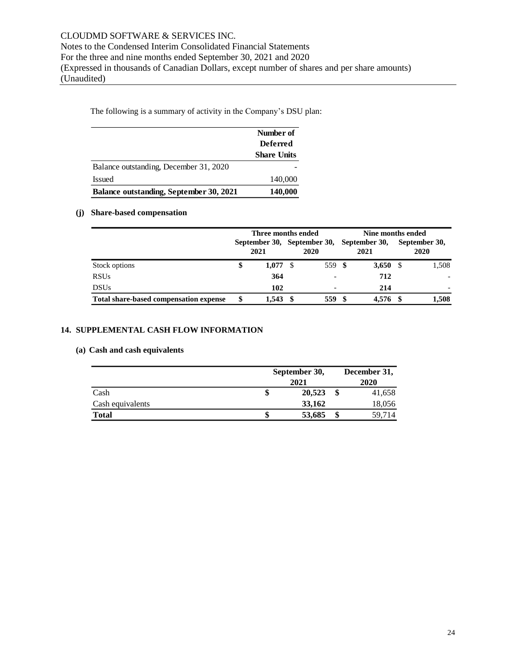The following is a summary of activity in the Company's DSU plan:

|                                         | Number of<br><b>Deferred</b> |
|-----------------------------------------|------------------------------|
|                                         | <b>Share Units</b>           |
| Balance outstanding, December 31, 2020  |                              |
| Issued                                  | 140,000                      |
| Balance outstanding, September 30, 2021 | 140,000                      |

#### **(j) Share-based compensation**

|                                        | Three months ended<br>September 30, September 30, September 30,<br>2021 |       |  | 2020                     | 2021             | Nine months ended<br>September 30,<br>2020 |       |  |
|----------------------------------------|-------------------------------------------------------------------------|-------|--|--------------------------|------------------|--------------------------------------------|-------|--|
| Stock options                          | S                                                                       | 1.077 |  | 559 \$                   | 3,650 $\sqrt{5}$ |                                            | 1,508 |  |
| <b>RSUs</b>                            |                                                                         | 364   |  | $\overline{\phantom{a}}$ | 712              |                                            |       |  |
| <b>DSUs</b>                            |                                                                         | 102   |  | $\overline{\phantom{0}}$ | 214              |                                            |       |  |
| Total share-based compensation expense |                                                                         | 1.543 |  | 559                      | 4,576 \$         |                                            | 1.508 |  |

### **14. SUPPLEMENTAL CASH FLOW INFORMATION**

# **(a) Cash and cash equivalents**

|                  | September 30,<br>2021 |   | December 31,<br>2020 |
|------------------|-----------------------|---|----------------------|
| Cash             | 20,523                |   | 41,658               |
| Cash equivalents | 33,162                |   | 18,056               |
| <b>Total</b>     | 53,685                | ъ | 59,714               |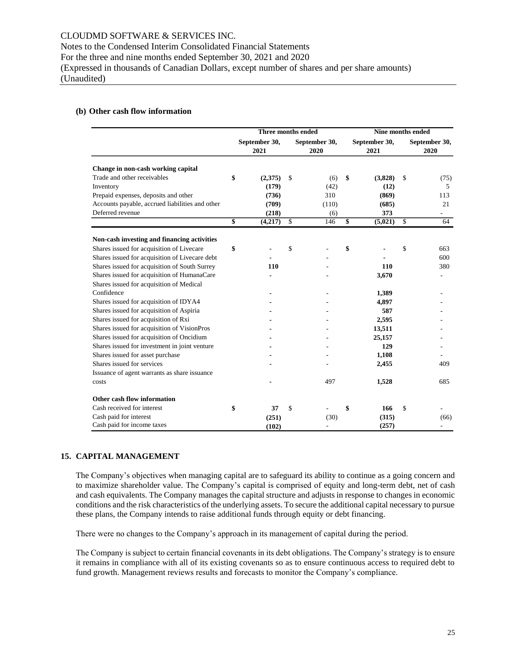# Notes to the Condensed Interim Consolidated Financial Statements

For the three and nine months ended September 30, 2021 and 2020

(Expressed in thousands of Canadian Dollars, except number of shares and per share amounts) (Unaudited)

# **(b) Other cash flow information**

|                                                 | Three months ended |                       |    |                       | Nine months ended |                       |    |                          |  |
|-------------------------------------------------|--------------------|-----------------------|----|-----------------------|-------------------|-----------------------|----|--------------------------|--|
|                                                 |                    | September 30,<br>2021 |    | September 30,<br>2020 |                   | September 30,<br>2021 |    | September 30,<br>2020    |  |
| Change in non-cash working capital              |                    |                       |    |                       |                   |                       |    |                          |  |
| Trade and other receivables                     | \$                 | (2,375)               | \$ | (6)                   | \$                | (3,828)               | \$ | (75)                     |  |
| Inventory                                       |                    | (179)                 |    | (42)                  |                   | (12)                  |    | 5                        |  |
| Prepaid expenses, deposits and other            |                    | (736)                 |    | 310                   |                   | (869)                 |    | 113                      |  |
| Accounts payable, accrued liabilities and other |                    | (709)                 |    | (110)                 |                   | (685)                 |    | 21                       |  |
| Deferred revenue                                |                    | (218)                 |    | (6)                   |                   | 373                   |    | $\overline{\phantom{a}}$ |  |
|                                                 | \$                 | (4,217)               | \$ | 146                   | \$                | (5,021)               | \$ | 64                       |  |
| Non-cash investing and financing activities     |                    |                       |    |                       |                   |                       |    |                          |  |
| Shares issued for acquisition of Livecare       | \$                 |                       | \$ |                       | \$                |                       | \$ | 663                      |  |
| Shares issued for acquisition of Livecare debt  |                    |                       |    |                       |                   |                       |    | 600                      |  |
| Shares issued for acquisition of South Surrey   |                    | 110                   |    |                       |                   | 110                   |    | 380                      |  |
| Shares issued for acquisition of HumanaCare     |                    |                       |    |                       |                   | 3,670                 |    |                          |  |
| Shares issued for acquisition of Medical        |                    |                       |    |                       |                   |                       |    |                          |  |
| Confidence                                      |                    |                       |    |                       |                   | 1,389                 |    |                          |  |
| Shares issued for acquisition of IDYA4          |                    |                       |    |                       |                   | 4,897                 |    |                          |  |
| Shares issued for acquisition of Aspiria        |                    |                       |    |                       |                   | 587                   |    |                          |  |
| Shares issued for acquisition of Rxi            |                    |                       |    |                       |                   | 2,595                 |    |                          |  |
| Shares issued for acquisition of VisionPros     |                    |                       |    |                       |                   | 13,511                |    |                          |  |
| Shares issued for acquisition of Oncidium       |                    |                       |    |                       |                   | 25,157                |    |                          |  |
| Shares issued for investment in joint venture   |                    |                       |    |                       |                   | 129                   |    |                          |  |
| Shares issued for asset purchase                |                    |                       |    |                       |                   | 1,108                 |    |                          |  |
| Shares issued for services                      |                    |                       |    |                       |                   | 2,455                 |    | 409                      |  |
| Issuance of agent warrants as share issuance    |                    |                       |    |                       |                   |                       |    |                          |  |
| costs                                           |                    |                       |    | 497                   |                   | 1,528                 |    | 685                      |  |
| Other cash flow information                     |                    |                       |    |                       |                   |                       |    |                          |  |
| Cash received for interest                      | \$                 | 37                    | \$ |                       |                   | 166                   | \$ |                          |  |
| Cash paid for interest                          |                    | (251)                 |    | (30)                  |                   | (315)                 |    | (66)                     |  |
| Cash paid for income taxes                      |                    | (102)                 |    |                       |                   | (257)                 |    |                          |  |

# **15. CAPITAL MANAGEMENT**

The Company's objectives when managing capital are to safeguard its ability to continue as a going concern and to maximize shareholder value. The Company's capital is comprised of equity and long-term debt, net of cash and cash equivalents. The Company manages the capital structure and adjusts in response to changes in economic conditions and the risk characteristics of the underlying assets. To secure the additional capital necessary to pursue these plans, the Company intends to raise additional funds through equity or debt financing.

There were no changes to the Company's approach in its management of capital during the period.

The Company is subject to certain financial covenants in its debt obligations. The Company's strategy is to ensure it remains in compliance with all of its existing covenants so as to ensure continuous access to required debt to fund growth. Management reviews results and forecasts to monitor the Company's compliance.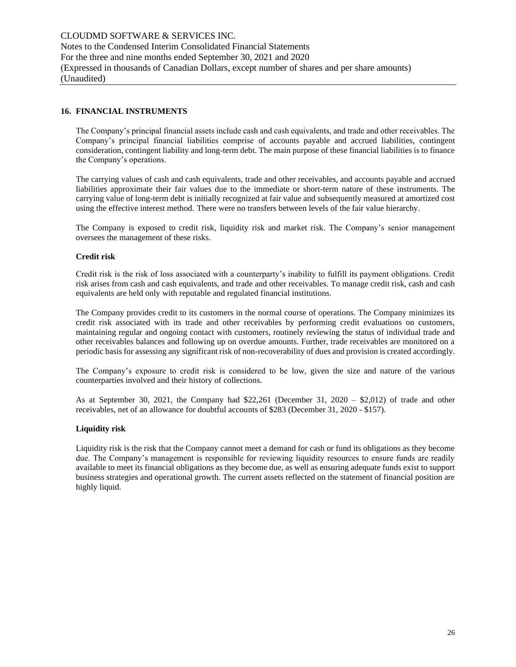## **16. FINANCIAL INSTRUMENTS**

The Company's principal financial assets include cash and cash equivalents, and trade and other receivables. The Company's principal financial liabilities comprise of accounts payable and accrued liabilities, contingent consideration, contingent liability and long-term debt. The main purpose of these financial liabilities is to finance the Company's operations.

The carrying values of cash and cash equivalents, trade and other receivables, and accounts payable and accrued liabilities approximate their fair values due to the immediate or short-term nature of these instruments. The carrying value of long-term debt is initially recognized at fair value and subsequently measured at amortized cost using the effective interest method. There were no transfers between levels of the fair value hierarchy.

The Company is exposed to credit risk, liquidity risk and market risk. The Company's senior management oversees the management of these risks.

#### **Credit risk**

Credit risk is the risk of loss associated with a counterparty's inability to fulfill its payment obligations. Credit risk arises from cash and cash equivalents, and trade and other receivables. To manage credit risk, cash and cash equivalents are held only with reputable and regulated financial institutions.

The Company provides credit to its customers in the normal course of operations. The Company minimizes its credit risk associated with its trade and other receivables by performing credit evaluations on customers, maintaining regular and ongoing contact with customers, routinely reviewing the status of individual trade and other receivables balances and following up on overdue amounts. Further, trade receivables are monitored on a periodic basis for assessing any significant risk of non-recoverability of dues and provision is created accordingly.

The Company's exposure to credit risk is considered to be low, given the size and nature of the various counterparties involved and their history of collections.

As at September 30, 2021, the Company had \$22,261 (December 31, 2020 – \$2,012) of trade and other receivables, net of an allowance for doubtful accounts of \$283 (December 31, 2020 - \$157).

#### **Liquidity risk**

Liquidity risk is the risk that the Company cannot meet a demand for cash or fund its obligations as they become due. The Company's management is responsible for reviewing liquidity resources to ensure funds are readily available to meet its financial obligations as they become due, as well as ensuring adequate funds exist to support business strategies and operational growth. The current assets reflected on the statement of financial position are highly liquid.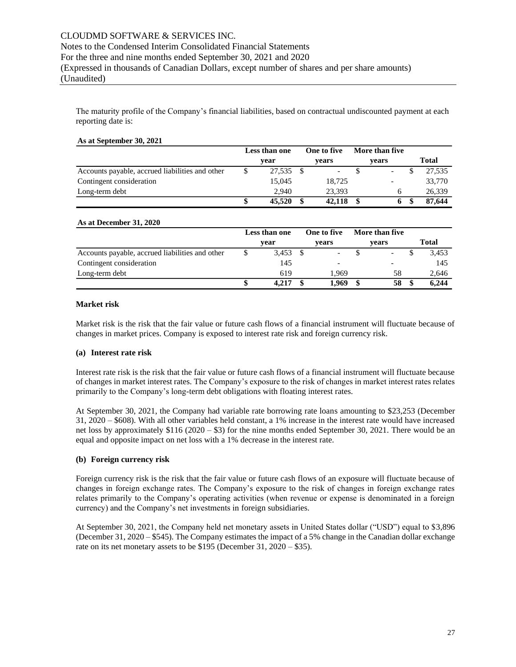The maturity profile of the Company's financial liabilities, based on contractual undiscounted payment at each reporting date is:

#### **As at September 30, 2021**

|                                                 | Less than one |           |  | One to five              | More than five |                          |  |        |
|-------------------------------------------------|---------------|-----------|--|--------------------------|----------------|--------------------------|--|--------|
|                                                 |               | vear      |  | vears                    |                | vears                    |  | Total  |
| Accounts payable, accrued liabilities and other |               | 27.535 \$ |  | $\overline{\phantom{a}}$ |                | $\overline{\phantom{a}}$ |  | 27.535 |
| Contingent consideration                        |               | 15.045    |  | 18,725                   |                |                          |  | 33,770 |
| Long-term debt                                  |               | 2.940     |  | 23.393                   |                | h                        |  | 26.339 |
|                                                 |               | 45,520    |  | 42,118                   |                | 6                        |  | 87,644 |

#### **As at December 31, 2020**

|                                                 | Less than one |       | One to five              |  | More than five |       |
|-------------------------------------------------|---------------|-------|--------------------------|--|----------------|-------|
|                                                 |               | vear  | vears                    |  | vears          | Total |
| Accounts payable, accrued liabilities and other |               | 3,453 | $\overline{\phantom{0}}$ |  |                | 3.453 |
| Contingent consideration                        |               | 145   |                          |  |                | 145   |
| Long-term debt                                  |               | 619   | 1.969                    |  | 58             | 2,646 |
|                                                 |               | 4.217 | 1.969                    |  | 58             | 6.244 |

#### **Market risk**

Market risk is the risk that the fair value or future cash flows of a financial instrument will fluctuate because of changes in market prices. Company is exposed to interest rate risk and foreign currency risk.

## **(a) Interest rate risk**

Interest rate risk is the risk that the fair value or future cash flows of a financial instrument will fluctuate because of changes in market interest rates. The Company's exposure to the risk of changes in market interest rates relates primarily to the Company's long-term debt obligations with floating interest rates.

At September 30, 2021, the Company had variable rate borrowing rate loans amounting to \$23,253 (December 31, 2020 – \$608). With all other variables held constant, a 1% increase in the interest rate would have increased net loss by approximately \$116 (2020 – \$3) for the nine months ended September 30, 2021. There would be an equal and opposite impact on net loss with a 1% decrease in the interest rate.

#### **(b) Foreign currency risk**

Foreign currency risk is the risk that the fair value or future cash flows of an exposure will fluctuate because of changes in foreign exchange rates. The Company's exposure to the risk of changes in foreign exchange rates relates primarily to the Company's operating activities (when revenue or expense is denominated in a foreign currency) and the Company's net investments in foreign subsidiaries.

At September 30, 2021, the Company held net monetary assets in United States dollar ("USD") equal to \$3,896 (December 31, 2020 – \$545). The Company estimates the impact of a 5% change in the Canadian dollar exchange rate on its net monetary assets to be \$195 (December 31, 2020 – \$35).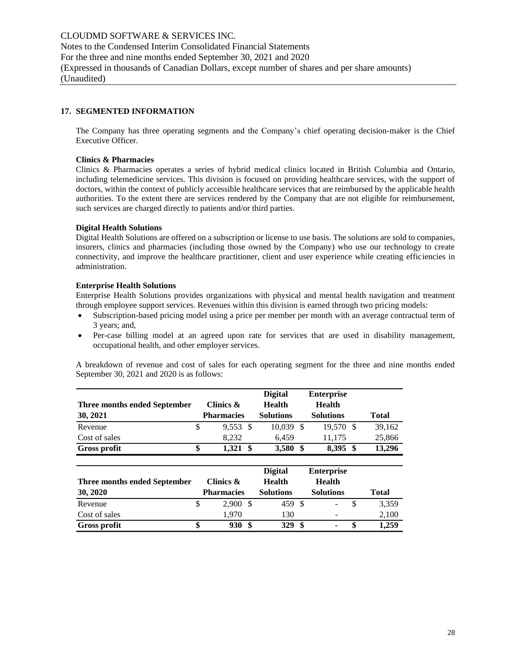# **17. SEGMENTED INFORMATION**

The Company has three operating segments and the Company's chief operating decision-maker is the Chief Executive Officer.

#### **Clinics & Pharmacies**

Clinics & Pharmacies operates a series of hybrid medical clinics located in British Columbia and Ontario, including telemedicine services. This division is focused on providing healthcare services, with the support of doctors, within the context of publicly accessible healthcare services that are reimbursed by the applicable health authorities. To the extent there are services rendered by the Company that are not eligible for reimbursement, such services are charged directly to patients and/or third parties.

#### **Digital Health Solutions**

Digital Health Solutions are offered on a subscription or license to use basis. The solutions are sold to companies, insurers, clinics and pharmacies (including those owned by the Company) who use our technology to create connectivity, and improve the healthcare practitioner, client and user experience while creating efficiencies in administration.

#### **Enterprise Health Solutions**

Enterprise Health Solutions provides organizations with physical and mental health navigation and treatment through employee support services. Revenues within this division is earned through two pricing models:

- Subscription-based pricing model using a price per member per month with an average contractual term of 3 years; and,
- Per-case billing model at an agreed upon rate for services that are used in disability management, occupational health, and other employer services.

A breakdown of revenue and cost of sales for each operating segment for the three and nine months ended September 30, 2021 and 2020 is as follows:

|                              |                   |      | <b>Digital</b>   |      | <b>Enterprise</b> |              |
|------------------------------|-------------------|------|------------------|------|-------------------|--------------|
| Three months ended September | Clinics &         |      | <b>Health</b>    |      | <b>Health</b>     |              |
| 30, 2021                     | <b>Pharmacies</b> |      | <b>Solutions</b> |      | <b>Solutions</b>  | <b>Total</b> |
| Revenue                      | \$<br>9,553       | -S   | 10,039           | -\$  | 19,570 \$         | 39,162       |
| Cost of sales                | 8.232             |      | 6,459            |      | 11,175            | 25,866       |
| Gross profit                 | \$<br>1,321       | - \$ | 3,580            | - \$ | 8,395 \$          | 13,296       |
|                              |                   |      |                  |      |                   |              |
|                              |                   |      | <b>Digital</b>   |      | <b>Enterprise</b> |              |
| Three months ended September | Clinics &         |      | <b>Health</b>    |      | <b>Health</b>     |              |
| 30, 2020                     | <b>Pharmacies</b> |      | <b>Solutions</b> |      | <b>Solutions</b>  | <b>Total</b> |
| Revenue                      | \$<br>2.900       | -S   | 459 \$           |      |                   | \$<br>3,359  |
| Cost of sales                | 1,970             |      | 130              |      |                   | 2,100        |
| Gross profit                 | \$<br>930         | \$   | 329              | \$   |                   | \$<br>1,259  |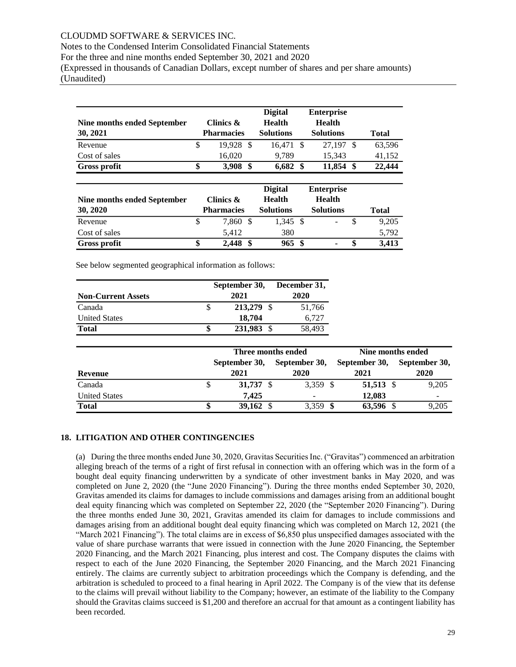# CLOUDMD SOFTWARE & SERVICES INC.

Notes to the Condensed Interim Consolidated Financial Statements

For the three and nine months ended September 30, 2021 and 2020

(Expressed in thousands of Canadian Dollars, except number of shares and per share amounts) (Unaudited)

| Nine months ended September<br>30, 2021 | Clinics &<br><b>Pharmacies</b> |      | <b>Digital</b><br><b>Health</b><br><b>Solutions</b> | <b>Enterprise</b><br><b>Health</b><br><b>Solutions</b> |    | <b>Total</b> |
|-----------------------------------------|--------------------------------|------|-----------------------------------------------------|--------------------------------------------------------|----|--------------|
| Revenue                                 | \$<br>19.928                   | -S   | 16.471 \$                                           | 27.197                                                 | -S | 63,596       |
| Cost of sales                           | 16,020                         |      | 9.789                                               | 15.343                                                 |    | 41,152       |
| Gross profit                            | \$<br>3,908                    | - \$ | 6,682                                               | \$<br>11,854                                           | \$ | 22,444       |
| Nine months ended September<br>30, 2020 | Clinics &<br><b>Pharmacies</b> |      | <b>Digital</b><br><b>Health</b><br><b>Solutions</b> | <b>Enterprise</b><br><b>Health</b><br><b>Solutions</b> |    | <b>Total</b> |
| Revenue                                 | \$<br>7.860                    | - \$ | 1,345 \$                                            |                                                        | \$ | 9,205        |
| Cost of sales                           | 5,412                          |      | 380                                                 |                                                        |    | 5,792        |
| <b>Gross profit</b>                     | \$<br>2.448                    | \$   | 965 \$                                              |                                                        |    | 3.413        |

See below segmented geographical information as follows:

|                           | September 30, | December 31, |  |  |  |
|---------------------------|---------------|--------------|--|--|--|
| <b>Non-Current Assets</b> | 2021          | 2020         |  |  |  |
| Canada                    | 213,279 \$    | 51,766       |  |  |  |
| <b>United States</b>      | 18,704        | 6.727        |  |  |  |
| <b>Total</b>              | 231,983 \$    | 58,493       |  |  |  |

|                      |   |                      | Three months ended       | Nine months ended |                          |  |  |
|----------------------|---|----------------------|--------------------------|-------------------|--------------------------|--|--|
|                      |   | September 30,        | September 30,            | September 30,     | September 30,            |  |  |
| Revenue              |   | 2021                 | 2020                     | 2021              | 2020                     |  |  |
| Canada               | J | 31,737 $\frac{1}{2}$ | 3,359 \$                 | 51,513 \$         | 9,205                    |  |  |
| <b>United States</b> |   | 7.425                | $\overline{\phantom{a}}$ | 12,083            | $\overline{\phantom{0}}$ |  |  |
| <b>Total</b>         | ъ | 39,162 $\frac{1}{2}$ | $3,359$ \$               | 63,596 \$         | 9,205                    |  |  |

## **18. LITIGATION AND OTHER CONTINGENCIES**

(a) During the three months ended June 30, 2020, Gravitas Securities Inc. ("Gravitas") commenced an arbitration alleging breach of the terms of a right of first refusal in connection with an offering which was in the form of a bought deal equity financing underwritten by a syndicate of other investment banks in May 2020, and was completed on June 2, 2020 (the "June 2020 Financing"). During the three months ended September 30, 2020, Gravitas amended its claims for damages to include commissions and damages arising from an additional bought deal equity financing which was completed on September 22, 2020 (the "September 2020 Financing"). During the three months ended June 30, 2021, Gravitas amended its claim for damages to include commissions and damages arising from an additional bought deal equity financing which was completed on March 12, 2021 (the "March 2021 Financing"). The total claims are in excess of \$6,850 plus unspecified damages associated with the value of share purchase warrants that were issued in connection with the June 2020 Financing, the September 2020 Financing, and the March 2021 Financing, plus interest and cost. The Company disputes the claims with respect to each of the June 2020 Financing, the September 2020 Financing, and the March 2021 Financing entirely. The claims are currently subject to arbitration proceedings which the Company is defending, and the arbitration is scheduled to proceed to a final hearing in April 2022. The Company is of the view that its defense to the claims will prevail without liability to the Company; however, an estimate of the liability to the Company should the Gravitas claims succeed is \$1,200 and therefore an accrual for that amount as a contingent liability has Nine months ended September<br> **Rowance**<br>
Rowance<br>
Cost of sales<br>
Gross profit<br>
Nine months ended September<br>
Torss profit<br>
Nine months ended September<br> **Nine months ended September**<br>
Rowance<br>
Cost of sales<br>
Gross profit<br>
See